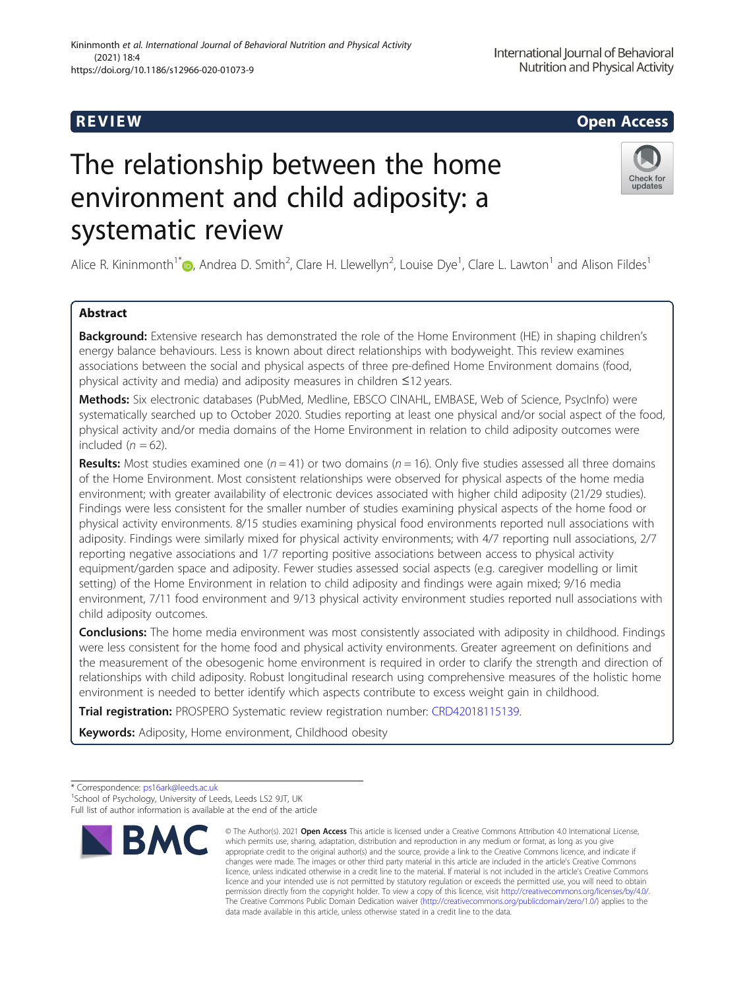# The relationship between the home environment and child adiposity: a systematic review

Alice R. Kininmonth<sup>1\*</sup> (**b**, Andrea D. Smith<sup>2</sup>, Clare H. Llewellyn<sup>2</sup>, Louise Dye<sup>1</sup>, Clare L. Lawton<sup>1</sup> and Alison Fildes<sup>1</sup>

# Abstract

Background: Extensive research has demonstrated the role of the Home Environment (HE) in shaping children's energy balance behaviours. Less is known about direct relationships with bodyweight. This review examines associations between the social and physical aspects of three pre-defined Home Environment domains (food, physical activity and media) and adiposity measures in children ≤12 years.

Methods: Six electronic databases (PubMed, Medline, EBSCO CINAHL, EMBASE, Web of Science, PsycInfo) were systematically searched up to October 2020. Studies reporting at least one physical and/or social aspect of the food, physical activity and/or media domains of the Home Environment in relation to child adiposity outcomes were included  $(n = 62)$ .

**Results:** Most studies examined one ( $n = 41$ ) or two domains ( $n = 16$ ). Only five studies assessed all three domains of the Home Environment. Most consistent relationships were observed for physical aspects of the home media environment; with greater availability of electronic devices associated with higher child adiposity (21/29 studies). Findings were less consistent for the smaller number of studies examining physical aspects of the home food or physical activity environments. 8/15 studies examining physical food environments reported null associations with adiposity. Findings were similarly mixed for physical activity environments; with 4/7 reporting null associations, 2/7 reporting negative associations and 1/7 reporting positive associations between access to physical activity equipment/garden space and adiposity. Fewer studies assessed social aspects (e.g. caregiver modelling or limit setting) of the Home Environment in relation to child adiposity and findings were again mixed; 9/16 media environment, 7/11 food environment and 9/13 physical activity environment studies reported null associations with child adiposity outcomes.

**Conclusions:** The home media environment was most consistently associated with adiposity in childhood. Findings were less consistent for the home food and physical activity environments. Greater agreement on definitions and the measurement of the obesogenic home environment is required in order to clarify the strength and direction of relationships with child adiposity. Robust longitudinal research using comprehensive measures of the holistic home environment is needed to better identify which aspects contribute to excess weight gain in childhood.

**Trial registration:** PROSPERO Systematic review registration number: [CRD42018115139](https://www.crd.york.ac.uk/prospero/display_record.php?RecordID=115139).

Keywords: Adiposity, Home environment, Childhood obesity

data made available in this article, unless otherwise stated in a credit line to the data.

\* Correspondence: [ps16ark@leeds.ac.uk](mailto:ps16ark@leeds.ac.uk) <sup>1</sup> <sup>1</sup>School of Psychology, University of Leeds, Leeds LS2 9JT, UK Full list of author information is available at the end of the article



updates



# R EVI EW Open Access

<sup>©</sup> The Author(s), 2021 **Open Access** This article is licensed under a Creative Commons Attribution 4.0 International License, **BMC** which permits use, sharing, adaptation, distribution and reproduction in any medium or format, as long as you give appropriate credit to the original author(s) and the source, provide a link to the Creative Commons licence, and indicate if changes were made. The images or other third party material in this article are included in the article's Creative Commons licence, unless indicated otherwise in a credit line to the material. If material is not included in the article's Creative Commons licence and your intended use is not permitted by statutory regulation or exceeds the permitted use, you will need to obtain permission directly from the copyright holder. To view a copy of this licence, visit [http://creativecommons.org/licenses/by/4.0/.](http://creativecommons.org/licenses/by/4.0/) The Creative Commons Public Domain Dedication waiver [\(http://creativecommons.org/publicdomain/zero/1.0/](http://creativecommons.org/publicdomain/zero/1.0/)) applies to the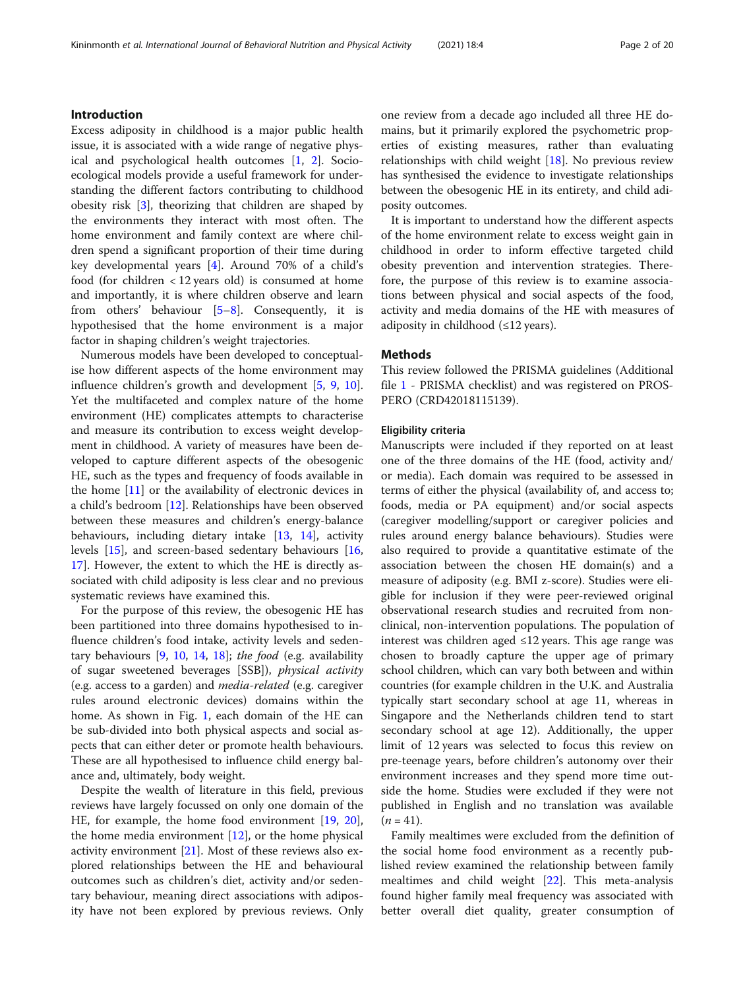Excess adiposity in childhood is a major public health issue, it is associated with a wide range of negative physical and psychological health outcomes [\[1](#page-17-0), [2\]](#page-17-0). Socioecological models provide a useful framework for understanding the different factors contributing to childhood obesity risk [\[3](#page-17-0)], theorizing that children are shaped by the environments they interact with most often. The home environment and family context are where children spend a significant proportion of their time during key developmental years [[4\]](#page-17-0). Around 70% of a child's food (for children < 12 years old) is consumed at home and importantly, it is where children observe and learn from others' behaviour [\[5](#page-17-0)–[8](#page-17-0)]. Consequently, it is hypothesised that the home environment is a major factor in shaping children's weight trajectories.

Numerous models have been developed to conceptualise how different aspects of the home environment may influence children's growth and development [\[5](#page-17-0), [9](#page-17-0), [10](#page-17-0)]. Yet the multifaceted and complex nature of the home environment (HE) complicates attempts to characterise and measure its contribution to excess weight development in childhood. A variety of measures have been developed to capture different aspects of the obesogenic HE, such as the types and frequency of foods available in the home [[11\]](#page-17-0) or the availability of electronic devices in a child's bedroom [\[12](#page-17-0)]. Relationships have been observed between these measures and children's energy-balance behaviours, including dietary intake [[13,](#page-17-0) [14\]](#page-17-0), activity levels [[15](#page-17-0)], and screen-based sedentary behaviours [[16](#page-17-0), [17\]](#page-17-0). However, the extent to which the HE is directly associated with child adiposity is less clear and no previous systematic reviews have examined this.

For the purpose of this review, the obesogenic HE has been partitioned into three domains hypothesised to influence children's food intake, activity levels and sedentary behaviours  $[9, 10, 14, 18]$  $[9, 10, 14, 18]$  $[9, 10, 14, 18]$  $[9, 10, 14, 18]$  $[9, 10, 14, 18]$  $[9, 10, 14, 18]$  $[9, 10, 14, 18]$  $[9, 10, 14, 18]$  $[9, 10, 14, 18]$ ; the food (e.g. availability of sugar sweetened beverages [SSB]), physical activity (e.g. access to a garden) and media-related (e.g. caregiver rules around electronic devices) domains within the home. As shown in Fig. [1,](#page-2-0) each domain of the HE can be sub-divided into both physical aspects and social aspects that can either deter or promote health behaviours. These are all hypothesised to influence child energy balance and, ultimately, body weight.

Despite the wealth of literature in this field, previous reviews have largely focussed on only one domain of the HE, for example, the home food environment [\[19](#page-17-0), [20](#page-17-0)], the home media environment [\[12](#page-17-0)], or the home physical activity environment [[21](#page-17-0)]. Most of these reviews also explored relationships between the HE and behavioural outcomes such as children's diet, activity and/or sedentary behaviour, meaning direct associations with adiposity have not been explored by previous reviews. Only one review from a decade ago included all three HE domains, but it primarily explored the psychometric properties of existing measures, rather than evaluating relationships with child weight  $[18]$ . No previous review has synthesised the evidence to investigate relationships between the obesogenic HE in its entirety, and child adiposity outcomes.

It is important to understand how the different aspects of the home environment relate to excess weight gain in childhood in order to inform effective targeted child obesity prevention and intervention strategies. Therefore, the purpose of this review is to examine associations between physical and social aspects of the food, activity and media domains of the HE with measures of adiposity in childhood  $(\leq 12 \text{ years})$ .

## Methods

This review followed the PRISMA guidelines (Additional file [1](#page-16-0) - PRISMA checklist) and was registered on PROS-PERO (CRD42018115139).

#### Eligibility criteria

Manuscripts were included if they reported on at least one of the three domains of the HE (food, activity and/ or media). Each domain was required to be assessed in terms of either the physical (availability of, and access to; foods, media or PA equipment) and/or social aspects (caregiver modelling/support or caregiver policies and rules around energy balance behaviours). Studies were also required to provide a quantitative estimate of the association between the chosen HE domain(s) and a measure of adiposity (e.g. BMI z-score). Studies were eligible for inclusion if they were peer-reviewed original observational research studies and recruited from nonclinical, non-intervention populations. The population of interest was children aged ≤12 years. This age range was chosen to broadly capture the upper age of primary school children, which can vary both between and within countries (for example children in the U.K. and Australia typically start secondary school at age 11, whereas in Singapore and the Netherlands children tend to start secondary school at age 12). Additionally, the upper limit of 12 years was selected to focus this review on pre-teenage years, before children's autonomy over their environment increases and they spend more time outside the home. Studies were excluded if they were not published in English and no translation was available  $(n = 41)$ .

Family mealtimes were excluded from the definition of the social home food environment as a recently published review examined the relationship between family mealtimes and child weight [\[22](#page-17-0)]. This meta-analysis found higher family meal frequency was associated with better overall diet quality, greater consumption of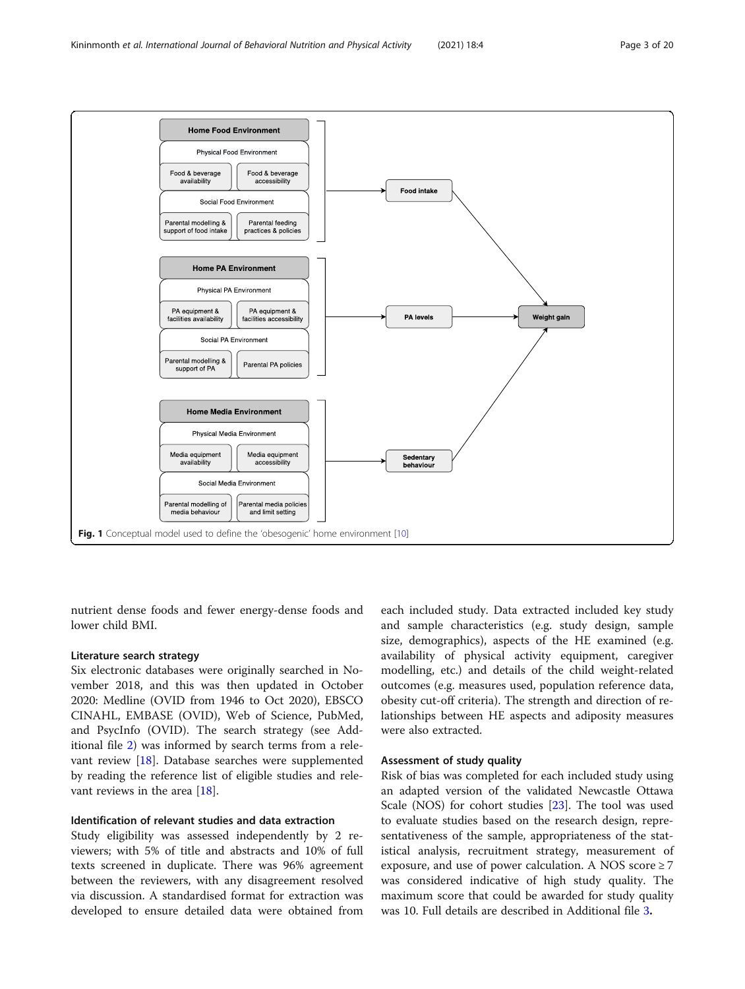

<span id="page-2-0"></span>

nutrient dense foods and fewer energy-dense foods and lower child BMI.

## Literature search strategy

Six electronic databases were originally searched in November 2018, and this was then updated in October 2020: Medline (OVID from 1946 to Oct 2020), EBSCO CINAHL, EMBASE (OVID), Web of Science, PubMed, and PsycInfo (OVID). The search strategy (see Additional file [2](#page-16-0)) was informed by search terms from a relevant review [[18\]](#page-17-0). Database searches were supplemented by reading the reference list of eligible studies and rele-vant reviews in the area [[18\]](#page-17-0).

#### Identification of relevant studies and data extraction

Study eligibility was assessed independently by 2 reviewers; with 5% of title and abstracts and 10% of full texts screened in duplicate. There was 96% agreement between the reviewers, with any disagreement resolved via discussion. A standardised format for extraction was developed to ensure detailed data were obtained from

each included study. Data extracted included key study and sample characteristics (e.g. study design, sample size, demographics), aspects of the HE examined (e.g. availability of physical activity equipment, caregiver modelling, etc.) and details of the child weight-related outcomes (e.g. measures used, population reference data, obesity cut-off criteria). The strength and direction of relationships between HE aspects and adiposity measures were also extracted.

#### Assessment of study quality

Risk of bias was completed for each included study using an adapted version of the validated Newcastle Ottawa Scale (NOS) for cohort studies [[23](#page-17-0)]. The tool was used to evaluate studies based on the research design, representativeness of the sample, appropriateness of the statistical analysis, recruitment strategy, measurement of exposure, and use of power calculation. A NOS score  $\geq 7$ was considered indicative of high study quality. The maximum score that could be awarded for study quality was 10. Full details are described in Additional file [3](#page-16-0).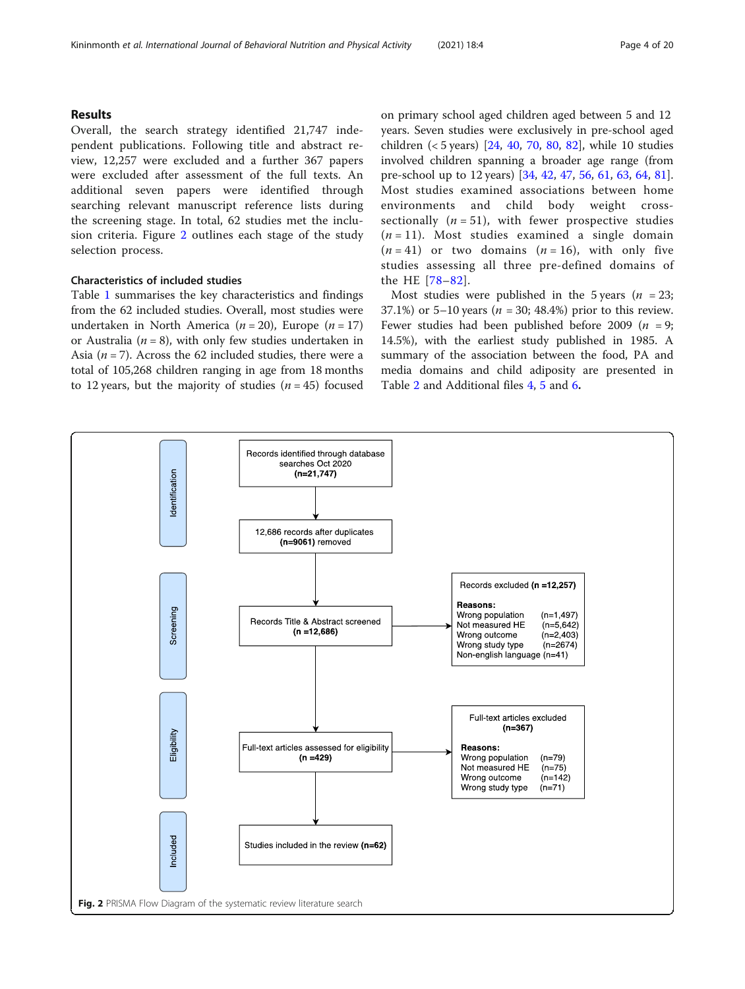# Results

Overall, the search strategy identified 21,747 independent publications. Following title and abstract review, 12,257 were excluded and a further 367 papers were excluded after assessment of the full texts. An additional seven papers were identified through searching relevant manuscript reference lists during the screening stage. In total, 62 studies met the inclusion criteria. Figure 2 outlines each stage of the study selection process.

# Characteristics of included studies

Table [1](#page-4-0) summarises the key characteristics and findings from the 62 included studies. Overall, most studies were undertaken in North America ( $n = 20$ ), Europe ( $n = 17$ ) or Australia ( $n = 8$ ), with only few studies undertaken in Asia ( $n = 7$ ). Across the 62 included studies, there were a total of 105,268 children ranging in age from 18 months to 12 years, but the majority of studies  $(n = 45)$  focused on primary school aged children aged between 5 and 12 years. Seven studies were exclusively in pre-school aged children (< 5 years) [[24,](#page-17-0) [40](#page-18-0), [70](#page-19-0), [80,](#page-19-0) [82](#page-19-0)], while 10 studies involved children spanning a broader age range (from pre-school up to 12 years) [[34,](#page-18-0) [42,](#page-18-0) [47,](#page-18-0) [56,](#page-18-0) [61](#page-18-0), [63](#page-18-0), [64](#page-19-0), [81](#page-19-0)]. Most studies examined associations between home environments and child body weight crosssectionally  $(n = 51)$ , with fewer prospective studies  $(n = 11)$ . Most studies examined a single domain  $(n = 41)$  or two domains  $(n = 16)$ , with only five studies assessing all three pre-defined domains of the HE [\[78](#page-19-0)–[82](#page-19-0)].

Most studies were published in the 5 years ( $n = 23$ ; 37.1%) or 5–10 years ( $n = 30$ ; 48.4%) prior to this review. Fewer studies had been published before 2009 ( $n = 9$ ; 14.5%), with the earliest study published in 1985. A summary of the association between the food, PA and media domains and child adiposity are presented in Table [2](#page-11-0) and Additional files [4,](#page-16-0) [5](#page-16-0) and [6](#page-16-0).

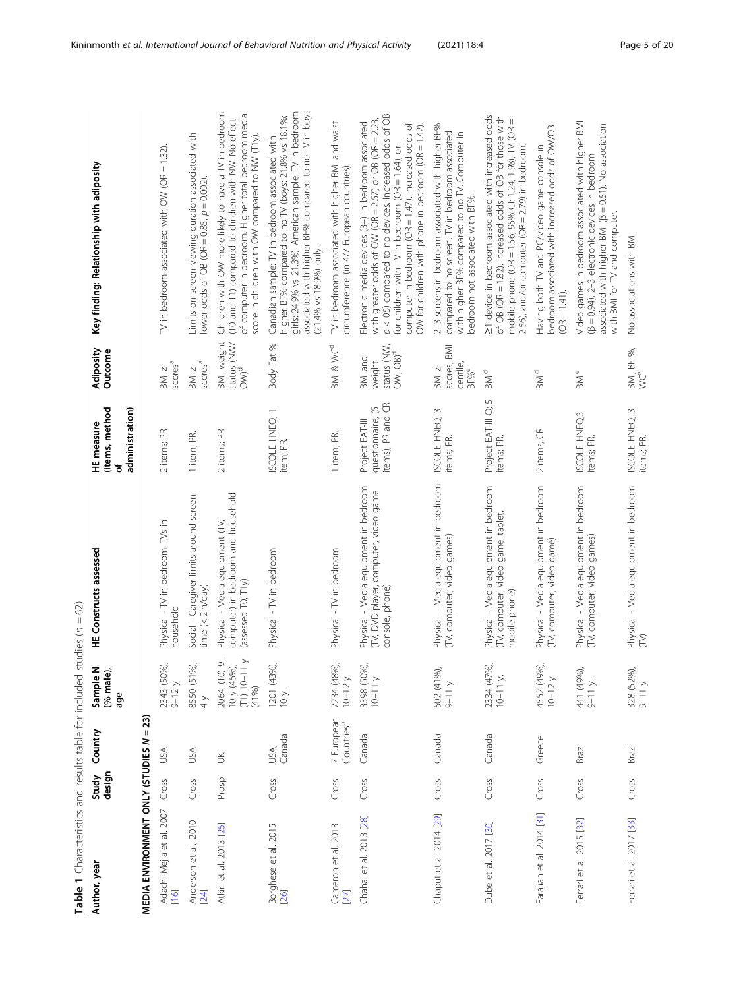<span id="page-4-0"></span>

| Author, year                      | Study<br>design | Country                              | Sample N<br>(% male),<br>age                                | <b>HE Constructs assessed</b>                                                                     | (items, method<br>administration)<br>HE measure<br>৳                        | Adiposity<br>Outcome                                             | Key finding: Relationship with adiposity                                                                                                                                                                                                                                                                                                           |
|-----------------------------------|-----------------|--------------------------------------|-------------------------------------------------------------|---------------------------------------------------------------------------------------------------|-----------------------------------------------------------------------------|------------------------------------------------------------------|----------------------------------------------------------------------------------------------------------------------------------------------------------------------------------------------------------------------------------------------------------------------------------------------------------------------------------------------------|
| MEDIA ENVIRONMENT ONLY (STUDIES N |                 | $= 23$                               |                                                             |                                                                                                   |                                                                             |                                                                  |                                                                                                                                                                                                                                                                                                                                                    |
| Adachi-Mejia et al. 2007<br>[16]  | Cross           | USA                                  | 2343 (50%),<br>$9-12y$                                      | Physical - TV in bedroom. TVs in<br>household                                                     | 2 items; PR                                                                 | score <sup>a</sup><br>BMI z-                                     | TV in bedroom associated with OW (OR $=$ 1.32).                                                                                                                                                                                                                                                                                                    |
| Anderson et al., 2010<br>$[24]$   | Cross           | USA                                  | 8550 (51%),<br>$\frac{1}{4}$                                | Social - Caregiver limits around screen-<br>time $(< 2 h / day)$                                  | 1 item; PR.                                                                 | score <sup>a</sup><br>$\mathsf{BM}$ z-                           | Limits on screen-viewing duration associated with<br>lower odds of OB (OR = $0.85$ , $p = 0.002$ ).                                                                                                                                                                                                                                                |
| Atkin et al. 2013 [25]            | Prosp           | $\leq$                               | 2064, (TO) 9-<br>$10 y (45%)$ ;<br>(T1) $10-11 y$<br>(4196) | computer) in bedroom and household<br>Physical - Media equipment (TV,<br>(assessed $T0, T1y$ )    | 2 items; PR                                                                 | BMI, weight<br>status (NW/<br>OW) <sup>d</sup>                   | Children with OW more likely to have a TV in bedroom<br>of computer in bedroom. Higher total bedroom media<br>(TO and T1) compared to children with NW. No effect<br>score in children with OW compared to NW (T1y).                                                                                                                               |
| Borghese et al. 2015<br>[26]      | Cross           | Canada<br>USA,                       | 1201 (43%),<br>10 y.                                        | Physical - TV in bedroom                                                                          | ISCOLE HNEQ; 1<br>item; PR.                                                 | Body Fat %                                                       | associated with higher BF% compared to no TV in boys<br>girls: 24.9% vs 21.3%). American sample: TV in bedroom<br>higher BF% compared to no TV (boys: 21.8% vs 18.1%;<br>Canadian sample: TV in bedroom associated with<br>(21.4% vs 18.9%) only.                                                                                                  |
| Cameron et al. 2013<br>$[27]$     | Cross           | 7 European<br>Countries <sup>b</sup> | 7234 (48%),<br>$10 - 12$ y.                                 | Physical - TV in bedroom                                                                          | 1 item; PR.                                                                 | BMI & WC <sup>d</sup>                                            | TV in bedroom associated with higher BMI and waist<br>circumference (in 4/7 European countries).                                                                                                                                                                                                                                                   |
| Chahal et al. 2013 [28].          | Cross           | Canada                               | 3398 (50%),<br>$10 - 11$ y                                  | Physical - Media equipment in bedroom<br>(TV, DVD player, computer, video game<br>console, phone) | questionnaire, (5<br>items), PR and CR<br>questionnaire,<br>Project EAT-III | status (NW,<br>$OW, OB)^d$<br>BMI and<br>weight                  | p < .05) compared to no devices. Increased odds of OB<br>with greater odds of OW (OR = $2.57$ ) or OB (OR = $2.23$ ,<br>Electronic media devices (3+) in bedroom associated<br>computer in bedroom (OR = $1.47$ ). Increased odds of<br>OW for children with phone in bedroom (OR = $1.42$ ).<br>for children with $TV$ in bedroom (OR = 1.64), or |
| Chaput et al. 2014 [29]           | Cross           | Ganada                               | 502 (41%),<br>9-11 y                                        | Physical - Media equipment in bedroom<br>(TV, computer, video games)                              | 3<br>ISCOLE HNEQ:<br>items; PR.                                             | <b>BMI</b><br>scores,<br>centile<br>$BMI$ z-<br>BF% <sup>e</sup> | 2-3 screens in bedroom associated with higher BF%<br>compared to no screen. TV in bedroom associated<br>with higher BF% compared to no TV. Computer in<br>bedroom not associated with BF%.                                                                                                                                                         |
| Dube et al. 2017 [30]             | Cross           | Canada                               | 2334 (47%),<br>$10-11$ y.                                   | Physical - Media equipment in bedroom<br>(TV, computer, video game, tablet,<br>mobile phone)      | Project EAT-III Q; 5<br>items; PR.                                          | BMI <sup>d</sup>                                                 | 21 device in bedroom associated with increased odds<br>of OB (OR = 1.82). Increased odds of OB for those with<br>mobile phone (OR = 1.56, 95% Cl: 1.24, 1.98), TV (OR =<br>$2.56$ ), and/or computer (OR = $2.79$ ) in bedroom.                                                                                                                    |
| Farajian et al. 2014 [31]         | Cross           | Greece                               | 4552 (49%),<br>$10-12y$                                     | Physical - Media equipment in bedroom<br>(TV, computer, video game)                               | 2 items; CR                                                                 | $\mathsf{B}\mathsf{M}^\mathsf{d}$                                | bedroom associated with increased odds of OW/OB<br>Having both TV and PC/video game console in<br>$(OR = 1.41).$                                                                                                                                                                                                                                   |
| Ferrari et al. 2015 [32]          | Cross           | Brazil                               | 441 (49%),<br>$9-11$ y.                                     | Physical - Media equipment in bedroom<br>(TV, computer, video games)                              | ISCOLE HNEQ:3<br>items; PR.                                                 | $\mathsf{BM}^\mathsf{e}$                                         | Video games in bedroom associated with higher BMI<br>associated with higher BMI ( $\beta$ = 0.51). No association<br>(B = 0.94). 2-3 electronic devices in bedroom<br>with BMI for TV and computer.                                                                                                                                                |
| Ferrari et al. 2017 [33]          | Cross           | Brazil                               | 328 (52%),<br>$9-11v$                                       | Physical - Media equipment in bedroom<br>Ê                                                        | ISCOLE HNEQ: 3<br>items; PR.                                                | $BMI, BF %$ , $W^e$                                              | No associations with BMI.                                                                                                                                                                                                                                                                                                                          |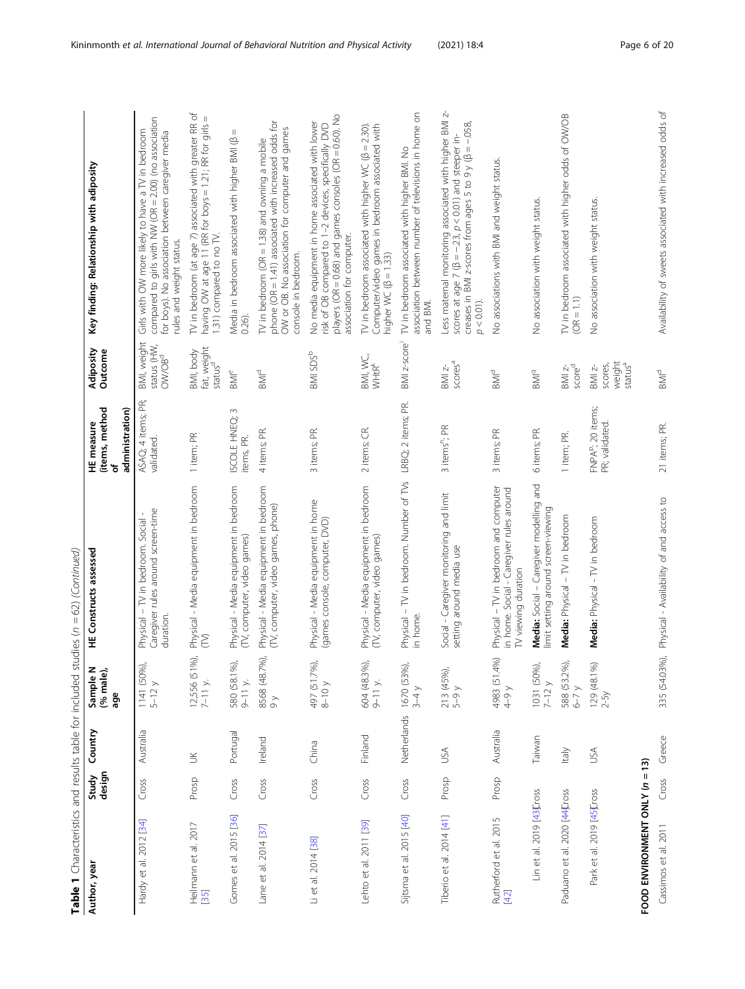| Table 1 Characteristics and results table for included studies ( $n = 62$ ) (Continued) |                 |             |                                       |                                                                                                          |                                                      |                                                              |                                                                                                                                                                                                              |
|-----------------------------------------------------------------------------------------|-----------------|-------------|---------------------------------------|----------------------------------------------------------------------------------------------------------|------------------------------------------------------|--------------------------------------------------------------|--------------------------------------------------------------------------------------------------------------------------------------------------------------------------------------------------------------|
| Author, year                                                                            | design<br>Study | Country     | Sample N<br>(% male),<br>age          | <b>HE Constructs assessed</b>                                                                            | (items, method<br>administration)<br>HE measure<br>৳ | Adiposity<br>Outcome                                         | Key finding: Relationship with adiposity                                                                                                                                                                     |
| Hardy et al. 2012 [34]                                                                  | Cross           | Australia   | 1141 (50%)<br>$5-12y$                 | Caregiver rules around screen-time<br>Physical - TV in bedroom. Social<br>duration.                      | ASAQ; 4 items; PR;<br>validated.                     | BMI, weight<br>status (HW,<br>OW/OB <sup>d</sup>             | compared to girls with NW (OR = 2.00) (no association<br>Girls with OW more likely to have a TV in bedroom<br>for boys). No association between caregiver media<br>rules and weight status.                  |
| Heilmann et al. 2017<br>35                                                              | Prosp           | $\geq$      | 12,556 (51%),<br>$7-11$ y.            | Physical - Media equipment in bedroom<br>Ê                                                               | 1 item; PR                                           | fat, weight<br>BMI, body<br>status <sup>d</sup>              | TV in bedroom (at age 7) associated with greater RR of<br>having OW at age 11 (RR for boys = 1.21; RR for girls =<br>1.31) compared to no TV.                                                                |
| Gomes et al. 2015 [36]                                                                  | Cross           | Portugal    | 580 (58.1%)<br>$9 - 11$ y.            | Physical - Media equipment in bedroom<br>(TV, computer, video games)                                     | $\sim$<br>ISCOLE HNEQ;<br>items, PR.                 | <b>BMI<sup>e</sup></b>                                       | Ш<br>Media in bedroom associated with higher BMI (B<br>0.26).                                                                                                                                                |
| Lane et al. 2014 [37]                                                                   | Cross           | Ireland     | 8568 (48.7%),<br>$\frac{1}{\sqrt{2}}$ | Physical - Media equipment in bedroom<br>(TV, computer, video games, phone)                              | 4 items; PR.                                         | $BMMd$                                                       | phone (OR = 1.41) associated with increased odds for<br>OW or OB. No association for computer and games<br>TV in bedroom ( $OR = 1.38$ ) and owning a mobile<br>console in bedroom.                          |
| Li et al. 2014 [38]                                                                     | Cross           | China       | 497 (51.7%)<br>$8-10y$                | Physical - Media equipment in home<br>(games console, computer, DVD)                                     | 3 items; PR.                                         | BMI SDS <sup>b</sup>                                         | players (OR = 0.68) and games consoles (OR = 0.60). No<br>No media equipment in home associated with lower<br>risk of OB compared to 1-2 devices, specifically DVD<br>association for computer.              |
| Lehto et al. 2011 [39]                                                                  | Cross           | Finland     | 604 (48.3%)<br>$9 - 11$ y.            | Physical - Media equipment in bedroom<br>(TV, computer, video games)                                     | 2 items; CR.                                         | BMI, WC,<br><b>WHtR<sup>k</sup></b>                          | TV in bedroom associated with higher WC ( $\beta$ = 2.30).<br>Computer/video games in bedroom associated with<br>higher WC ( $\beta$ = 1.33)                                                                 |
| Sijtsma et al. 2015 [40]                                                                | Cross           | Netherlands | 1670 (53%)<br>$3-4y$                  | Physical - TV in bedroom. Number of TVs LRBQ; 2 items; PR.<br>in home.                                   |                                                      | BMI z-score <sup>1</sup>                                     | association between number of televisions in home on<br>TV in bedroom associated with higher BMI. No<br>and BMI.                                                                                             |
| Tiberio et al. 2014 [41]                                                                | Prosp           | <b>ASU</b>  | 213 (45%),<br>5–9 y                   | Social - Caregiver monitoring and limit<br>setting around media use                                      | 3 items"; PR                                         | scores <sup>a</sup><br>$BMZ-$                                | N<br>Less maternal monitoring associated with higher BMI<br>creases in BMI z-scores from ages 5 to 9 y ( $\beta$ = -.058,<br>scores at age 7 ( $\beta = -23$ , $p < 0.01$ ) and steeper in-<br>$p < 0.01$ ). |
| Rutherford et al. 2015<br>[42]                                                          | Prosp           | Australia   | 4983 (51.4%)<br>$4 - 9y$              | Physical - TV in bedroom and computer<br>in home. Social - Caregiver rules around<br>TV viewing duration | 3 items; PR                                          | $\mathsf{B}\mathsf{M}\mathsf{I}^\mathsf{d}$                  | No associations with BMI and weight status.                                                                                                                                                                  |
| Lin et al. 2019 [43]Cross                                                               |                 | Taiwan      | 1031 (50%)<br>$7-12y$                 | Media: Social - Caregiver modelling and<br>limit setting around screen-viewing                           | 6 items; PR.                                         | $\mathsf{BM}^\mathsf{q}$                                     | No association with weight status.                                                                                                                                                                           |
| Paduano et al. 2020 [44]Cross                                                           |                 | ltaly       | 588 (53.2%)<br>$6 - 7y$               | Media: Physical - TV in bedroom                                                                          | 1 item; PR.                                          |                                                              | TV in bedroom associated with higher odds of OW/OB<br>$(OR = 1.1)$                                                                                                                                           |
| Park et al. 2019 [45]Cross                                                              |                 | USA         | $129(48.1\%)$<br>$2-5y$               | Media: Physical - TV in bedroom                                                                          | FNPAP; 20 items;<br>PR; validated.                   | weight<br>status <sup>a</sup><br>scores,<br>$\mathsf{BM}$ z- | No association with weight status.                                                                                                                                                                           |
| FOOD ENVIRONMENT ONLY (n = 13)                                                          |                 |             |                                       |                                                                                                          |                                                      |                                                              |                                                                                                                                                                                                              |
| Cassimos et al. 2011                                                                    | Cross           | Greece      | 335 (54.03%),                         | Physical - Availability of and access to                                                                 | 21 items; PR.                                        | BMI <sup>d</sup>                                             | Availability of sweets associated with increased odds of                                                                                                                                                     |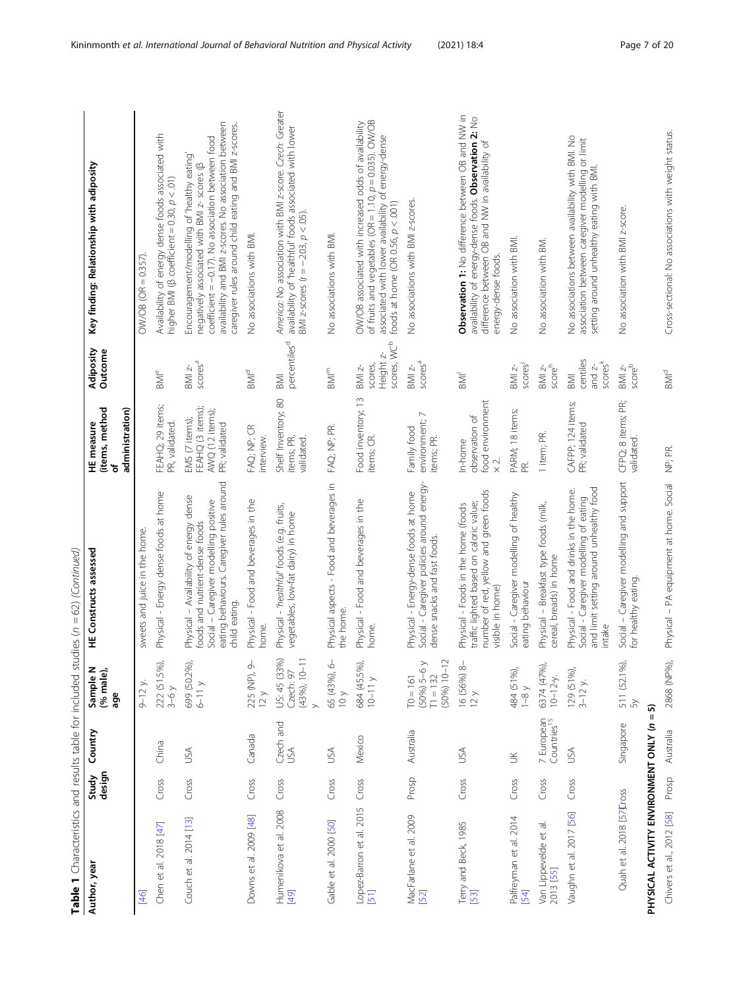| Table 1 Characteristics and results table for included studies ( $n = 62$ ) (Continued) |                 |                                       |                                                                |                                                                                                                                                                                  |                                                                        |                                                              |                                                                                                                                                                                                                                                                   |
|-----------------------------------------------------------------------------------------|-----------------|---------------------------------------|----------------------------------------------------------------|----------------------------------------------------------------------------------------------------------------------------------------------------------------------------------|------------------------------------------------------------------------|--------------------------------------------------------------|-------------------------------------------------------------------------------------------------------------------------------------------------------------------------------------------------------------------------------------------------------------------|
| Author, year                                                                            | design<br>Study | Country                               | Sample N<br>(% male),<br>age                                   | HE Constructs assessed                                                                                                                                                           | (items, method<br>HE measure<br>৳                                      | Adiposity<br>Outcome                                         | Key finding: Relationship with adiposity                                                                                                                                                                                                                          |
|                                                                                         |                 |                                       |                                                                |                                                                                                                                                                                  | administration)                                                        |                                                              |                                                                                                                                                                                                                                                                   |
| [46]                                                                                    |                 |                                       | $9 - 12$ y.                                                    | sweets and juice in the home.                                                                                                                                                    |                                                                        |                                                              | $OWOB (OR = 0.357)$                                                                                                                                                                                                                                               |
| Chen et al. 2018 [47]                                                                   | Cross           | China                                 | 222 (51.5%)<br>$3-6y$                                          | Physical - Energy dense foods at home                                                                                                                                            | FEAHQ; 29 items;<br>PR, validated.                                     | <b>BMI</b> <sup>e</sup>                                      | Availability of energy dense foods associated with<br>higher BMI ( $\beta$ coefficient = 0.30, $p < .01$ )                                                                                                                                                        |
| Couch et al. 2014 [13]                                                                  | Cross           | USA                                   | 699 (50.2%)<br>$6-11y$                                         | eating behaviours. Caregiver rules around<br>Physical - Availability of energy dense<br>Social - Caregiver modelling positive<br>foods and nutrient-dense foods<br>child eating. | EMS (7 items);<br>FEAHQ (3 items);<br>AWQ (12 items);<br>PR; validated | SCOTES <sup>a</sup><br>$BM$ $z-$                             | availability and BMI z-scores. No association between<br>caregiver rules around child eating and BMI z-scores.<br>coefficient = -0.17). No association between food<br>Encouragement/modelling of 'healthy eating'<br>negatively associated with BMI z- scores (B |
| Downs et al. 2009 [48]                                                                  | Cross           | Canada                                | 225 (NP), 9<br>12 y                                            | Physical - Food and beverages in the<br>home.                                                                                                                                    | FAQ; NP; CR<br>interview.                                              | BMd                                                          | No associations with BMI                                                                                                                                                                                                                                          |
| Humenikova et al. 2008<br>[49]                                                          | Cross           | Czech and<br>USA                      | US: 45 (33%)<br>$(43%)$ , $10-1$<br>Czech: 97<br>$\rightarrow$ | Physical - 'healthful' foods (e.g. fruits,<br>vegetables, low-fat dairy) in home                                                                                                 | Shelf Inventory; 80<br>items; PR,<br>validated.                        | percentiles <sup>d</sup><br><b>IMB</b>                       | America: No association with BMI z-score. Czech: Greater<br>availability of 'healthful' foods associated with lower<br>BMI z-scores ( $r = -203$ , $p < 0.05$ ).                                                                                                  |
| Gable et al. 2000 [50]                                                                  | Cross           | USA                                   | 65 (43%), 6<br>10 y                                            | Physical aspects - Food and beverages in<br>the home.                                                                                                                            | FAQ; NP; PR.                                                           | $\mathsf{BM}^\mathsf{m}$                                     | No associations with BMI.                                                                                                                                                                                                                                         |
| Lopez-Barron et al. 2015<br>[51]                                                        | Cross           | Mexico                                | 684 (45.5%)<br>$10-11$ y                                       | Physical - Food and beverages in the<br>home.                                                                                                                                    | Food inventory; 13<br>items; CR.                                       | scores, WC <sup>b</sup><br>Height z-<br>scores,<br>$BM$ $z-$ | of fruits and vegetables (OR = $1.10$ , $p = 0.035$ ). OW/OB<br>OW/OB associated with increased odds of availability<br>associated with lower availability of energy-dense<br>foods at home (OR 0.56, $p < .001$ )                                                |
| MacFarlane et al. 2009<br>[52]                                                          | Prosp           | Australia                             | $(50%) 5-6 y$<br>$(50\%) 10-1$<br>$\Pi = 132$<br>$161 = 161$   | Social - Caregiver policies around energy-<br>Physical - Energy-dense foods at home<br>dense snacks and fast foods.                                                              | environment; 7<br>Family food<br>items; PR.                            | scores <sup>a</sup><br>$BM$ $z-$                             | No associations with BMI z-scores.                                                                                                                                                                                                                                |
| Terry and Beck, 1985<br>[53]                                                            | Cross           | USA                                   | 16 (56%) 8-<br>12 y                                            | number of red, yellow and green foods<br>traffic lighted based on caloric value;<br>Physical - Foods in the home (foods<br>visible in home)                                      | food environment<br>observation of<br>In-home<br>$\times 2$ .          | $\overline{\mathbb{R}}$                                      | Observation 1: No difference between OB and NW in<br>availability of energy-dense foods. Observation 2: No<br>difference between OB and NW in availability of<br>energy-dense foods.                                                                              |
| Palfreyman et al. 2014<br>[54]                                                          | Cross           | $\leq$                                | 484 (51%),<br>$1-8 y$                                          | Social - Caregiver modelling of healthy<br>eating behaviour                                                                                                                      | PARM; 18 items;<br>εĖ                                                  | scores<br>$BM$ $z-$                                          | No association with BMI.                                                                                                                                                                                                                                          |
| Van Lippevelde et al.<br>2013 [55]                                                      | Cross           | 7 European<br>Countries <sup>15</sup> | 6374 (47%)<br>$10 - 12 - y$ .                                  | Physical - Breakfast type foods (milk,<br>cereal, breads) in home                                                                                                                | 1 item; PR.                                                            | scoreh<br>$BM$ $z$ $\overline{z}$                            | No association with BM.                                                                                                                                                                                                                                           |
| Vaughn et al. 2017 [56]                                                                 | Cross           | JSA                                   | 129 (51%),<br>$3 - 12$ y.                                      | and limit setting around unhealthy food<br>Physical - Food and drinks in the home.<br>Social - Caregiver modelling of eating<br>intake                                           | CAFPP; 124 items;<br>PR; validated                                     | centiles<br>score <sup>k</sup><br>and $z$ -<br><b>IMB</b>    | No associations between availability with BMI. No<br>association between caregiver modelling or limit<br>setting around unhealthy eating with BMI.                                                                                                                |
| Quah et al. 2018 [57]Cross                                                              |                 | Singapore                             | 511 (52.1%)<br>$\mathcal{S}$                                   | Social - Caregiver modelling and support<br>for healthy eating.                                                                                                                  | CFPQ; 8 items; PR;<br>validated.                                       | $\frac{3}{2}$                                                | No association with BMI z-score.                                                                                                                                                                                                                                  |
| PHYSICAL ACTIVITY ENVIRONMENT ONLY (n = 5)                                              |                 |                                       |                                                                |                                                                                                                                                                                  |                                                                        |                                                              |                                                                                                                                                                                                                                                                   |
| Chivers et al., 2012 [58]                                                               | Prosp           | Australia                             | 2868 (NP%)                                                     | Physical - PA equipment at home. Social                                                                                                                                          | NP; PR.                                                                | BMI <sup>d</sup>                                             | Cross-sectional: No associations with weight status.                                                                                                                                                                                                              |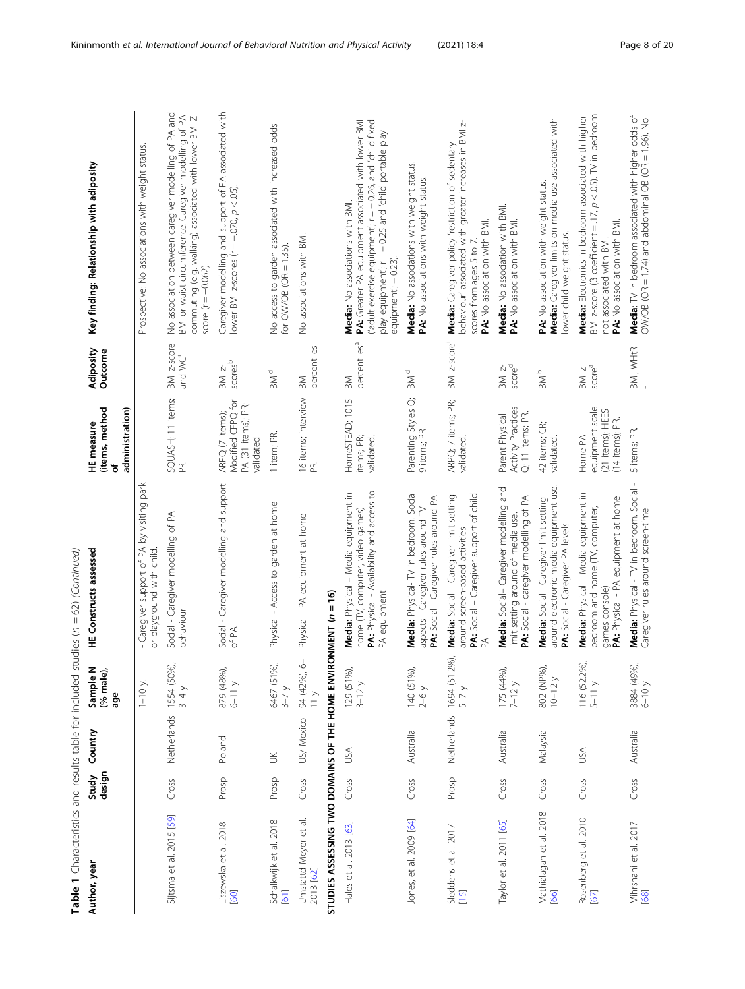| Table 1 Characteristics and results table for included studies ( $n = 62$ ) (Continued) |                 |                        |                              |                                                                                                                                       |                                                                         |                                             |                                                                                                                                                                                                                                       |
|-----------------------------------------------------------------------------------------|-----------------|------------------------|------------------------------|---------------------------------------------------------------------------------------------------------------------------------------|-------------------------------------------------------------------------|---------------------------------------------|---------------------------------------------------------------------------------------------------------------------------------------------------------------------------------------------------------------------------------------|
| Author, year                                                                            | design<br>Study | Country                | Sample N<br>(% male),<br>age | HE Constructs assessed                                                                                                                | (items, method<br>administration)<br>HE measure<br>Ⴆ                    | Adiposity<br>Outcome                        | Key finding: Relationship with adiposity                                                                                                                                                                                              |
|                                                                                         |                 |                        | $1-10$ y.                    | - Caregiver support of PA by visiting park<br>or playground with child.                                                               |                                                                         |                                             | Prospective: No associations with weight status.                                                                                                                                                                                      |
| Sijtsma et al. 2015 [59]                                                                | Cross           | Netherlands 1554 (50%) | $3-4y$                       | Social - Caregiver modelling of PA<br>behaviour                                                                                       | SQUASH; 11 items;<br>PR.                                                | BMI z-score<br>and WC                       | No association between caregiver modelling of PA and<br>BMI or waist circumference. Caregiver modelling of PA<br>commuting (e.g. walking) associated with lower BMI Z-<br>score ( $r = -0.062$ )                                      |
| Liszewska et al. 2018<br>[60]                                                           | Prosp           | Poland                 | 879 (48%),<br>$6-11y$        | Social - Caregiver modelling and support<br>of PA                                                                                     | Modified CFPQ for<br>PA (31 items); PR;<br>ARPQ (7 items);<br>validated | $scores^b$<br>BMI z-                        | Caregiver modelling and support of PA associated with<br>lower BMI z-scores ( $r = -.070$ , $p < .05$ ).                                                                                                                              |
| Schalkwijk et al. 2018<br>[61]                                                          | Prosp           | š                      | 6467 (51%),<br>$3 - 7y$      | Physical - Access to garden at home                                                                                                   | 1 item; PR.                                                             | BMI <sup>d</sup>                            | No access to garden associated with increased odds<br>for $OW/OB$ ( $OR = 1.35$ ).                                                                                                                                                    |
| Umstattd Meyer et al.<br>2013 [62]                                                      | Cross           | US/ Mexico             | 94 (42%), 6<br>$\frac{1}{2}$ | Physical - PA equipment at home                                                                                                       | 16 items; interview<br>ΕĖ                                               | percentiles<br>BMI                          | No associations with BMI.                                                                                                                                                                                                             |
| STUDIES ASSESSING TWO DOMAINS OF THE HOME ENVIRONMENT (n = 16)                          |                 |                        |                              |                                                                                                                                       |                                                                         |                                             |                                                                                                                                                                                                                                       |
| Hales et al. 2013 [63]                                                                  | Cross           | USA                    | 129 (51%),<br>$3-12y$        | PA: Physical - Availability and access to<br>Media: Physical - Media equipment in<br>home (TV, computer, video games)<br>PA equipment | HomeSTEAD; 1015<br>items; PR;<br>validated.                             | percentiles <sup>a</sup><br><b>M</b>        | PA: Greater PA equipment associated with lower BMI<br>('adult exercise equipment'; $r = -0.26$ , and 'child fixed<br>play equipment'; r = - 0.25 and 'child portable play<br>Media: No associations with BMI.<br>equipment'; - 0.23). |
| Jones, et al. 2009 [64]                                                                 | Cross           | Australia              | 140 (51%),<br>$2-6y$         | Media: Physical- TV in bedroom. Social<br>PA: Social - Caregiver rules around PA<br>aspects - Caregiver rules around TV               | Parenting Styles Q;<br>9 items; PR                                      | $\mathsf{B}\mathsf{M}\mathsf{I}^\mathsf{d}$ | Media: No associations with weight status.<br>PA: No associations with weight status.                                                                                                                                                 |
| Sleddens et al. 2017<br>[15]                                                            | Prosp           | Netherlands            | 1694 (51.2%),<br>$5-7y$      | PA: Social - Caregiver support of child<br>Media: Social - Caregiver limit setting<br>around screen-based activities<br>Ã             | ARPQ; 7 items; PR;<br>validated.                                        | BMI z-score                                 | behaviour' associated with greater increases in BMI z-<br>Media: Caregiver policy 'restriction of sedentary<br>PA: No association with BMI<br>scores from ages 5 to 7.                                                                |
| Taylor et al. 2011 [65]                                                                 | Cross           | Australia              | 175 (44%),<br>$7-12y$        | Media: Social- Caregiver modelling and<br>PA: Social - caregiver modelling of PA<br>limit setting around of media use.                | <b>Activity Practices</b><br>Parent Physical<br>Q; 11 items; PR.        | scored<br>$BMI$ $z-$                        | Media: No association with BMI<br>PA: No association with BMI.                                                                                                                                                                        |
| Mathialagan et al. 2018<br><u>[66]</u>                                                  | Cross           | Malaysia               | 802 (NP%),<br>$10 - 12y$     | around electronic media equipment use.<br>Media: Social - Caregiver limit setting<br>PA: Social - Caregiver PA levels                 | 42 items; CR;<br>validated                                              | $\frac{1}{2}$ MIP                           | Media: Caregiver limits on media use associated with<br>PA: No association with weight status.<br>lower child weight status.                                                                                                          |
| Rosenberg et al. 2010<br>[67]                                                           | Cross           | USA                    | 116 (52.2%),<br>$5-11y$      | Media: Physical - Media equipment in<br>PA: Physical - PA equipment at home<br>bedroom and home (TV, computer,<br>games console)      | equipment scale<br>(21 items); HEES<br>(14 items); PR.<br>Home PA       | score <sup>a</sup><br>$BMZ-$                | BMI z-score ( $\beta$ coefficient = .17, $p < .05$ ). TV in bedroom<br>Media: Electronics in bedroom associated with higher<br>PA: No association with BMI.<br>not associated with BMI.                                               |
| Mihrshahi et al. 2017<br>[68]                                                           | Cross           | Australia              | 3884 (49%),<br>6-10 y        | $\mathbf{I}$<br>Media: Physical - TV in bedroom. Social<br>Caregiver rules around screen-time                                         | 5 items; PR.                                                            | BMI, WHtR                                   | Media: TV in bedroom associated with higher odds of<br>$DWO$ B ( $OR = 1.74$ ) and abdominal $OB$ ( $OR = 1.96$ ). No                                                                                                                 |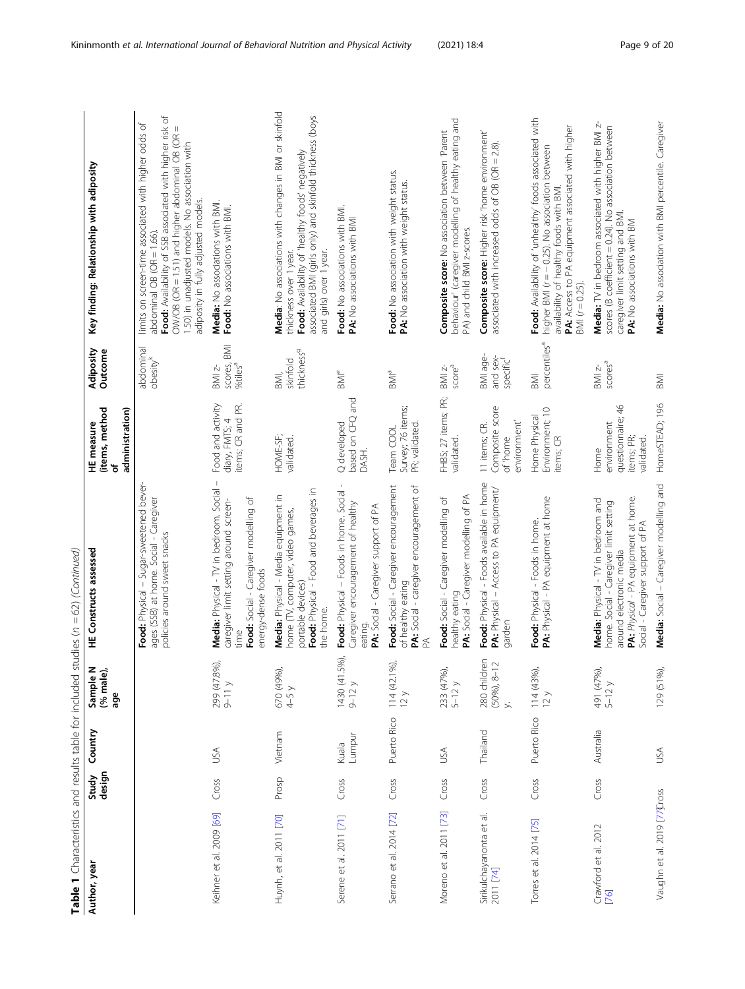| Table 1 Characteristics and results table for included studies ( $n = 62$ ) (Continued) |                 |                 |                                                         |                                                                                                                                                                                      |                                                                     |                                                            |                                                                                                                                                                                                                                                                                                    |
|-----------------------------------------------------------------------------------------|-----------------|-----------------|---------------------------------------------------------|--------------------------------------------------------------------------------------------------------------------------------------------------------------------------------------|---------------------------------------------------------------------|------------------------------------------------------------|----------------------------------------------------------------------------------------------------------------------------------------------------------------------------------------------------------------------------------------------------------------------------------------------------|
| Author, year                                                                            | design<br>Study | Country         | Sample N<br>(% male),<br>age                            | <b>HE Constructs assessed</b>                                                                                                                                                        | (items, method<br>administration)<br>HE measure<br>৳                | Adiposity<br>Outcome                                       | Key finding: Relationship with adiposity                                                                                                                                                                                                                                                           |
|                                                                                         |                 |                 |                                                         | Food: Physical - Sugar-sweetened bever-<br>ages (SSB) at home. Social - Caregiver<br>policies around sweet snacks                                                                    |                                                                     | abdominal<br>$\alpha$ besity <sup>k</sup>                  | Food: Availability of SSB associated with higher risk of<br>limits on screen-time associated with higher odds of<br>$ON/OB$ (OR = 1.51) and higher abdominal OB (OR =<br>1.50) in unadjusted models. No association with<br>adiposity in fully adjusted models.<br>$abdominal OB$ ( $OR = 1.66$ ). |
| Keihner et al. 2009 [69]                                                                | Cross           | USA             | 299 (47.8%),<br>$9-11 y$                                | Media: Physical - TV in bedroom. Social -<br>Food: Social - Caregiver modelling of<br>caregiver limit setting around screen-<br>energy-dense foods<br>time                           | Food and activity<br>items; CR and PR.<br>diary, FMTS; 4            | <b>IMB</b><br>scores, f<br>%tiles <sup>a</sup><br>$BMI$ z- | Media: No associations with BMI.<br>Food: No associations with BMI.                                                                                                                                                                                                                                |
| Huynh, et al. 2011 [70]                                                                 | Prosp           | Vietnam         | 670 (49%),<br>$4-5y$                                    | Food: Physical - Food and beverages in<br>Media: Physical - Media equipment in<br>home (TV, computer, video games,<br>portable devices)<br>the home.                                 | HOME-SF;<br>validated.                                              | thickness <sup>9</sup><br>skinfold<br>BMI,                 | Media: No associations with changes in BMI or skinfold<br>associated BMI (girls only) and skinfold thickness (boys<br>Food: Availability of 'healthy foods' negatively<br>and girls) over 1 year.<br>thickness over 1 year.                                                                        |
| Serene et al. 2011 [71]                                                                 | Cross           | Lumpur<br>Kuala | 1430 (41.5%),<br>$9-12y$                                | Food: Physical - Foods in home. Social -<br>Caregiver encouragement of healthy<br>PA: Social - Caregiver support of PA<br>eating.                                                    | based on CFQ and<br>Q developed<br>DASH.                            | $\mathsf{BM}^\mathsf{e}$                                   | Food: No associations with BMI.<br>PA: No associations with BMI                                                                                                                                                                                                                                    |
| Serrano et al. 2014 [72]                                                                | Cross           | Puerto Rico     | $114(42.1\%)$<br>12y                                    | Food: Social - Caregiver encouragement<br>PA: Social - caregiver encouragement of<br>of healthy eating<br>Ã                                                                          | Survey; 76 items;<br>PR; validated.<br>Team COOL                    | BMI <sup>a</sup>                                           | Food: No association with weight status.<br>PA: No association with weight status.                                                                                                                                                                                                                 |
| Moreno et al. 2011 [73]                                                                 | Cross           | <b>NSU</b>      | 233 (47%),<br>$5-12y$                                   | PA: Social - Caregiver modelling of PA<br>Food: Social - Caregiver modelling of<br>healthy eating                                                                                    | FHBS; 27 items; PR;<br>validated.                                   | score <sup>a</sup><br>$BMZ-$                               | behaviour' (caregiver modelling of healthy eating and<br>Composite score: No association between 'Parent<br>PA) and child BMI z-scores.                                                                                                                                                            |
| Sirikulchayanonta et al.<br>2011 [74]                                                   | Cross           | Thailand        | č<br>280 children<br>(50%), 8-12<br>$\ddot{\mathbf{y}}$ | Food: Physical - Foods available in home<br>PA: Physical - Access to PA equipment/<br>garden                                                                                         | Composite score<br>environment'<br>11 items; CR.<br>of 'home        | BMI age-<br>and sex-<br>specific                           | <b>Composite score:</b> Higher risk 'home environment'<br>associated with increased odds of OB (OR = 2.8)                                                                                                                                                                                          |
| Torres et al. 2014 [75]                                                                 | Cross           | Puerto Rico     | 114 (43%),<br>12y                                       | PA: Physical - PA equipment at home<br>Food: Physical - Foods in home.                                                                                                               | Environment; 10<br>Home Physical<br>items; CR                       | percentiles <sup>a</sup><br><b>IMB</b>                     | Food: Availability of 'unhealthy' foods associated with<br>PA: Access to PA equipment associated with higher<br>higher BMI (r = - 0.25). No association between<br>availability of healthy foods with BMI.<br>$BM (r = 0.25).$                                                                     |
| Crawford et al. 2012<br>[76]                                                            | Cross           | Australia       | 491 (47%),<br>$5-12y$                                   | PA: Physical - PA equipment at home.<br>Media: Physical - TV in bedroom and<br>home. Social - Caregiver limit setting<br>Social - Caregiver support of PA<br>around electronic media | questionnaire; 46<br>environment<br>items; PR;<br>validated<br>Home | scores <sup>a</sup><br>$BMZ-$                              | Media: TV in bedroom associated with higher BMI z-<br>scores (B coefficient = 0.24). No association between<br>caregiver limit setting and BMI.<br>PA: No associations with BM                                                                                                                     |
| Vaughn et al. 2019 [77 Cross                                                            |                 | USA             | 129 (51%),                                              | Media: Social - Caregiver modelling and                                                                                                                                              | HomeSTEAD; 196                                                      | <b>IMB</b>                                                 | Media: No association with BMI percentile. Caregiver                                                                                                                                                                                                                                               |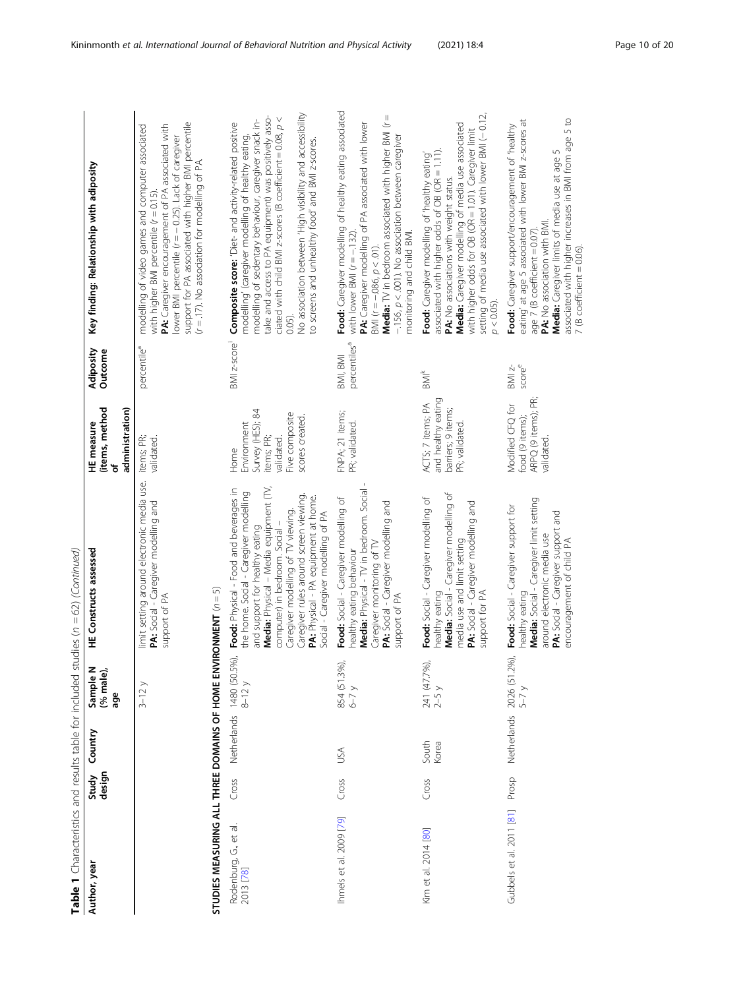| Table 1 Characteristics and results table for included stu |                 |                                    |                              | $ndies (n = 62) (Continued)$                                                                                                                                                                                                                                                                                                                                |                                                                                                          |                                      |                                                                                                                                                                                                                                                                                                                                                                                                                       |
|------------------------------------------------------------|-----------------|------------------------------------|------------------------------|-------------------------------------------------------------------------------------------------------------------------------------------------------------------------------------------------------------------------------------------------------------------------------------------------------------------------------------------------------------|----------------------------------------------------------------------------------------------------------|--------------------------------------|-----------------------------------------------------------------------------------------------------------------------------------------------------------------------------------------------------------------------------------------------------------------------------------------------------------------------------------------------------------------------------------------------------------------------|
| Author, year                                               | design<br>Study | Country                            | Sample N<br>(% male),<br>age | <b>HE Constructs assessed</b>                                                                                                                                                                                                                                                                                                                               | (items, method<br>administration)<br>HE measure<br>৳                                                     | Adiposity<br>Outcome                 | Key finding: Relationship with adiposity                                                                                                                                                                                                                                                                                                                                                                              |
|                                                            |                 |                                    | $3-12y$                      | limit setting around electronic media use.<br>PA: Social - Caregiver modelling and<br>support of PA                                                                                                                                                                                                                                                         | items; PR;<br>validated.                                                                                 | percentile <sup>a</sup>              | support for PA associated with higher BMI percentile<br>PA: Caregiver encouragement of PA associated with<br>modelling of video games and computer associated<br>ower BMI percentile (r = - 0.25). Lack of caregiver<br>$(r = .17)$ . No association for modelling of PA.<br>with higher BMI percentile $(r = 0.15)$                                                                                                  |
| STUDIES MEASURING ALL THREE DOMAINS OF HOME ENVI           |                 |                                    |                              | RONMENT $(n = 5)$                                                                                                                                                                                                                                                                                                                                           |                                                                                                          |                                      |                                                                                                                                                                                                                                                                                                                                                                                                                       |
| Rodenburg, G., et al.<br>2013 [78]                         | Cross           | Netherlands 1480 (50.5%)<br>8-12 y |                              | Media: Physical - Media equipment (TV,<br>Food: Physical - Food and beverages in<br>the home. Social - Caregiver modelling<br>Caregiver rules around screen viewing<br>PA: Physical - PA equipment at home.<br>Caregiver modelling of TV viewing.<br>Social - Caregiver modelling of PA<br>computer) in bedroom. Social -<br>and support for healthy eating | Survey (HES); 84<br>Five composite<br>scores created.<br>Environment<br>items; PR;<br>validated.<br>Home | BMI z-score                          | No association between 'High visibility and accessibility<br>take and access to PA equipment) was positively associated with child BMI z-scores (B coefficient = 0.08, $p <$<br>modelling of sedentary behaviour, caregiver snack in-<br>Composite score: 'Diet- and activity-related positive<br>modelling' (caregiver modelling of healthy eating,<br>to screens and unhealthy food' and BMI z-scores.<br>$0.05$ ). |
| Ihmels et al. 2009 [79]                                    | Cross           | JSA                                | 854 (51.3%),<br>6–7 y        | Media: Physical - TV in bedroom. Social<br>Food: Social - Caregiver modelling of<br>PA: Social - Caregiver modelling and<br>Caregiver monitoring of TV<br>healthy eating behaviour<br>support of PA                                                                                                                                                         | FNPA; 21 items;<br>PR; validated.                                                                        | percentiles <sup>a</sup><br>BMI, BMI | Food: Caregiver modelling of healthy eating associated<br><b>Media:</b> TV in bedroom associated with higher BMI ( $r =$<br>PA: Caregiver modelling of PA associated with lower<br>$-156$ , $p < 0.01$ ). No association between caregiver<br>monitoring and child BMI.<br>with lower BMI $(r = -132)$<br>$3$ MI ( $r = -.086$ , $p < .01$ ).                                                                         |
| Kim et al. 2014 [80]                                       | Cross           | South<br>Korea                     | 241 (47.7%),<br>2–5 y        | Media: Social - Caregiver modelling of<br>Food: Social - Caregiver modelling of<br>PA: Social - Caregiver modelling and<br>media use and limit setting<br>support for PA<br>nealthy eating                                                                                                                                                                  | and healthy eating<br>ACTS; 7 items; PA<br>barriers; 9 items;<br>PR; validated.                          | $\frac{k}{2}$                        | setting of media use associated with lower BMI (-0.12,<br>Media: Caregiver modelling of media use associated<br>with higher odds for OB (OR = 1.01). Caregiver limit<br>associated with higher odds of OB (OR = 1.11).<br>Food: Caregiver modelling of 'healthy eating<br>PA: No associations with weight status.<br>$p < 0.05$ ).                                                                                    |
| Gubbels et al. 2011 [81]                                   | Prosp           |                                    | Netherlands 2026 (51.2%),    | Media: Social - Caregiver limit setting<br>Food: Social - Caregiver support for<br>PA: Social - Caregiver support and<br>around electronic media use<br>encouragement of child PA<br>healthy eating                                                                                                                                                         | ARPQ (9 items); PR;<br>Modified CFQ for<br>food (9 items);<br>validated.                                 | $BMI$ z-<br>scoree                   | 5 to<br>eating' at age 5 associated with lower BMI z-scores at<br>Food: Caregiver support/encouragement of 'healthy<br>associated with higher increases in BMI from age<br>Media: Caregiver limits of media use at age 5<br>PA: No association with BMI.<br>age 7 (B coefficient = $0.07$ ).<br>$7$ (B coefficient = 0.06).                                                                                           |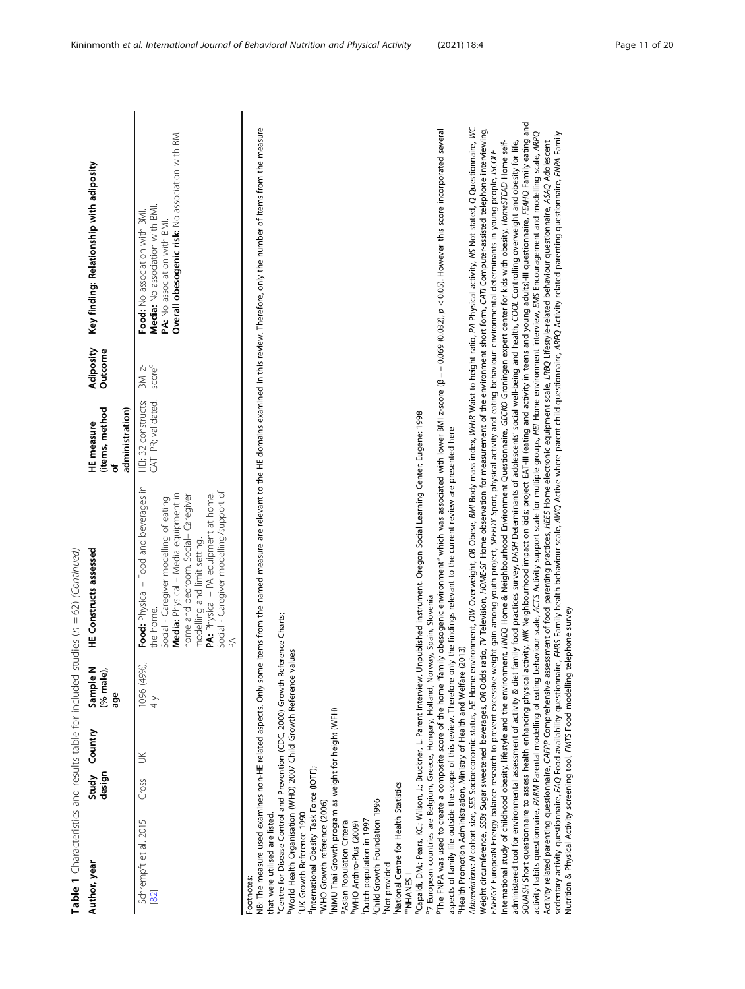| SQUASH Short questionnaire to assess health enhancing physical activity, MK Neighbourhood impact on kids; project EAT-III (eating and activity in teens and young adults)-III questionnaire, FEAHQ Family eating and<br>NB: The measure used examines non-HE related aspects. Only some items from the named measure are relevant to the HE domains examined in this review. Therefore, only the number of items from the measure<br>Abbreviations: N cohort size, SES Socioeconomic status, HE Home environment, OW Overweight, OB Obese, BMI Body mass index, WHR Waist to height ratio, PA Physical activity, NS Not stated, Q Questionnaire, WC<br>Weight circumference, SSBs Sugar sweetened beverages, OR Odds ratio, TV Television, HOME-SF Home observation for measurement of the environment short form, CATI Computer-assisted telephone interviewing,<br>PThe FNPA was used to create a composite score of the home "family obesogenic environment" which was associated with lower BMI z-score (B = - 0.069 (0.032), p < 0.05). However this score incorporated several<br>activity habits questionnaire. <i>PARM Parental modelling of eating behaviour scale, ACTS Activity support scale for multiple groups, HEI Home environment interview, EMS Encouragement and modelling scale, ARPQ</i><br>sedentary activity questionnaire, FAQ Food availability questionnaire, FHBS Family health behaviour scale, AIWQ Active where parent-child questionnaire, ARPQ Activity related parenting questionnaire, FWPA Family<br>International study of childhood obesity, lifestyle and the environment, HWEQ Home & Neighbourhood Environment Questionnaire, GECKO Groningen expert center for kids with obesity, HomesTEAD Home self-<br>administered tool for environmental assessment of activity & diet family food practices survey, DASH Determinants of adolescents' social well-being and health, COOL Controlling overweight and obesity for life,<br>Activity related parenting questionnaire, CAFPP Comprehensive assessment of food parenting practices, HEES Home electronic equipment scale, LRBQ Lifestyle-related behaviour questionnaire, ASAQ Adolescent<br>ENERGY EuropeaN Energy balance research to prevent excessive weight gain among youth project, SPEEDY Sport, physical activity and eating behaviour: environmental determinants in young people, ISCOLE<br>Food: No association with BMI.<br>PA: No association with BMI<br>score <sup>c</sup><br>$BMI$ $z-$<br>HEI; 32 constructs;<br>CATI PR; validated<br>administration)<br>"Capaldi, DM.; Pears, KC.; Wilson, J.; Bruckner, L. Parent Interview. Unpublished instrument. Oregon Social Learning Center; Eugene: 1998<br>aspects of family life outside the scope of this review. Therefore only the findings relevant to the current review are presented here<br>Food: Physical - Food and beverages in<br>Social - Caregiver modelling/support of<br>Media: Physical - Media equipment in<br>PA: Physical - PA equipment at home.<br>home and bedroom. Social- Caregiver<br>Social - Caregiver modelling of eating<br>modelling and limit setting.<br><sup>o</sup> 7 European countries are Belgium, Greece, Hungary, Holland, Norway, Spain, Slovenia<br>the home.<br><sup>a</sup> Centre for Disease Control and Prevention (CDC, 2000) Growth Reference Charts;<br><sup>9</sup> Health Promotion Administration, Ministry of Health and Welfare (2013)<br><sup>b</sup> World Health Organisation (WHO) 2007 Child Growth Reference values<br>1096 (49%),<br>$\frac{1}{4}$<br>INMU Thai Growth program as weight for height (WFH)<br>$\leq$<br><sup>d</sup> International Obesity Task Force (IOTF);<br>Cross<br>National Centre for Health Statistics<br>Child Growth Foundation 1996<br><sup>e</sup> WHO Growth reference (2006)<br>'UK Growth Reference 1990<br>that were utilised are listed.<br>Schrempft et al. 2015<br>Dutch population in 1997<br><sup>9</sup> Asian Population Criteria<br><sup>h</sup> WHO Anthro-Plus (2009)<br>Not provided<br><sup>m</sup> NHANES I<br>Footnotes:<br>[82] | Author, year | design<br>Study | Country | (% male)<br>Sample!<br>age | <b>HE Constructs assessed</b> | (items, method<br>HE measure<br>Ⴆ | Adiposity<br>Outcome | Key finding: Relationship with adiposity                                            |
|-------------------------------------------------------------------------------------------------------------------------------------------------------------------------------------------------------------------------------------------------------------------------------------------------------------------------------------------------------------------------------------------------------------------------------------------------------------------------------------------------------------------------------------------------------------------------------------------------------------------------------------------------------------------------------------------------------------------------------------------------------------------------------------------------------------------------------------------------------------------------------------------------------------------------------------------------------------------------------------------------------------------------------------------------------------------------------------------------------------------------------------------------------------------------------------------------------------------------------------------------------------------------------------------------------------------------------------------------------------------------------------------------------------------------------------------------------------------------------------------------------------------------------------------------------------------------------------------------------------------------------------------------------------------------------------------------------------------------------------------------------------------------------------------------------------------------------------------------------------------------------------------------------------------------------------------------------------------------------------------------------------------------------------------------------------------------------------------------------------------------------------------------------------------------------------------------------------------------------------------------------------------------------------------------------------------------------------------------------------------------------------------------------------------------------------------------------------------------------------------------------------------------------------------------------------------------------------------------------------------------------------------------------------------------------------------------------------------------------------------------------------------------------------------------------------------------------------------------------------------------------------------------------------------------------------------------------------------------------------------------------------------------------------------------------------------------------------------------------------------------------------------------------------------------------------------------------------------------------------------------------------------------------------------------------------------------------------------------------------------------------------------------------------------------------------------------------------------------------------------------------------------------------------------------------------------------------------------------------------------------------------------------------------------------------------------------------------------------------------------------------------------------------------------------------------------------------------------------------------------------------------------------------------------------------------------------------------------------------------------------------------------------------------------------------------------------------------------------------|--------------|-----------------|---------|----------------------------|-------------------------------|-----------------------------------|----------------------|-------------------------------------------------------------------------------------|
|                                                                                                                                                                                                                                                                                                                                                                                                                                                                                                                                                                                                                                                                                                                                                                                                                                                                                                                                                                                                                                                                                                                                                                                                                                                                                                                                                                                                                                                                                                                                                                                                                                                                                                                                                                                                                                                                                                                                                                                                                                                                                                                                                                                                                                                                                                                                                                                                                                                                                                                                                                                                                                                                                                                                                                                                                                                                                                                                                                                                                                                                                                                                                                                                                                                                                                                                                                                                                                                                                                                                                                                                                                                                                                                                                                                                                                                                                                                                                                                                                                                                                                       |              |                 |         |                            |                               |                                   |                      | Overall obesogenic risk: No association with BM.<br>Media: No association with BMI. |
|                                                                                                                                                                                                                                                                                                                                                                                                                                                                                                                                                                                                                                                                                                                                                                                                                                                                                                                                                                                                                                                                                                                                                                                                                                                                                                                                                                                                                                                                                                                                                                                                                                                                                                                                                                                                                                                                                                                                                                                                                                                                                                                                                                                                                                                                                                                                                                                                                                                                                                                                                                                                                                                                                                                                                                                                                                                                                                                                                                                                                                                                                                                                                                                                                                                                                                                                                                                                                                                                                                                                                                                                                                                                                                                                                                                                                                                                                                                                                                                                                                                                                                       |              |                 |         |                            |                               |                                   |                      |                                                                                     |
|                                                                                                                                                                                                                                                                                                                                                                                                                                                                                                                                                                                                                                                                                                                                                                                                                                                                                                                                                                                                                                                                                                                                                                                                                                                                                                                                                                                                                                                                                                                                                                                                                                                                                                                                                                                                                                                                                                                                                                                                                                                                                                                                                                                                                                                                                                                                                                                                                                                                                                                                                                                                                                                                                                                                                                                                                                                                                                                                                                                                                                                                                                                                                                                                                                                                                                                                                                                                                                                                                                                                                                                                                                                                                                                                                                                                                                                                                                                                                                                                                                                                                                       |              |                 |         |                            |                               |                                   |                      |                                                                                     |
|                                                                                                                                                                                                                                                                                                                                                                                                                                                                                                                                                                                                                                                                                                                                                                                                                                                                                                                                                                                                                                                                                                                                                                                                                                                                                                                                                                                                                                                                                                                                                                                                                                                                                                                                                                                                                                                                                                                                                                                                                                                                                                                                                                                                                                                                                                                                                                                                                                                                                                                                                                                                                                                                                                                                                                                                                                                                                                                                                                                                                                                                                                                                                                                                                                                                                                                                                                                                                                                                                                                                                                                                                                                                                                                                                                                                                                                                                                                                                                                                                                                                                                       |              |                 |         |                            |                               |                                   |                      |                                                                                     |
|                                                                                                                                                                                                                                                                                                                                                                                                                                                                                                                                                                                                                                                                                                                                                                                                                                                                                                                                                                                                                                                                                                                                                                                                                                                                                                                                                                                                                                                                                                                                                                                                                                                                                                                                                                                                                                                                                                                                                                                                                                                                                                                                                                                                                                                                                                                                                                                                                                                                                                                                                                                                                                                                                                                                                                                                                                                                                                                                                                                                                                                                                                                                                                                                                                                                                                                                                                                                                                                                                                                                                                                                                                                                                                                                                                                                                                                                                                                                                                                                                                                                                                       |              |                 |         |                            |                               |                                   |                      |                                                                                     |
|                                                                                                                                                                                                                                                                                                                                                                                                                                                                                                                                                                                                                                                                                                                                                                                                                                                                                                                                                                                                                                                                                                                                                                                                                                                                                                                                                                                                                                                                                                                                                                                                                                                                                                                                                                                                                                                                                                                                                                                                                                                                                                                                                                                                                                                                                                                                                                                                                                                                                                                                                                                                                                                                                                                                                                                                                                                                                                                                                                                                                                                                                                                                                                                                                                                                                                                                                                                                                                                                                                                                                                                                                                                                                                                                                                                                                                                                                                                                                                                                                                                                                                       |              |                 |         |                            |                               |                                   |                      |                                                                                     |
|                                                                                                                                                                                                                                                                                                                                                                                                                                                                                                                                                                                                                                                                                                                                                                                                                                                                                                                                                                                                                                                                                                                                                                                                                                                                                                                                                                                                                                                                                                                                                                                                                                                                                                                                                                                                                                                                                                                                                                                                                                                                                                                                                                                                                                                                                                                                                                                                                                                                                                                                                                                                                                                                                                                                                                                                                                                                                                                                                                                                                                                                                                                                                                                                                                                                                                                                                                                                                                                                                                                                                                                                                                                                                                                                                                                                                                                                                                                                                                                                                                                                                                       |              |                 |         |                            |                               |                                   |                      |                                                                                     |
|                                                                                                                                                                                                                                                                                                                                                                                                                                                                                                                                                                                                                                                                                                                                                                                                                                                                                                                                                                                                                                                                                                                                                                                                                                                                                                                                                                                                                                                                                                                                                                                                                                                                                                                                                                                                                                                                                                                                                                                                                                                                                                                                                                                                                                                                                                                                                                                                                                                                                                                                                                                                                                                                                                                                                                                                                                                                                                                                                                                                                                                                                                                                                                                                                                                                                                                                                                                                                                                                                                                                                                                                                                                                                                                                                                                                                                                                                                                                                                                                                                                                                                       |              |                 |         |                            |                               |                                   |                      |                                                                                     |
|                                                                                                                                                                                                                                                                                                                                                                                                                                                                                                                                                                                                                                                                                                                                                                                                                                                                                                                                                                                                                                                                                                                                                                                                                                                                                                                                                                                                                                                                                                                                                                                                                                                                                                                                                                                                                                                                                                                                                                                                                                                                                                                                                                                                                                                                                                                                                                                                                                                                                                                                                                                                                                                                                                                                                                                                                                                                                                                                                                                                                                                                                                                                                                                                                                                                                                                                                                                                                                                                                                                                                                                                                                                                                                                                                                                                                                                                                                                                                                                                                                                                                                       |              |                 |         |                            |                               |                                   |                      |                                                                                     |
|                                                                                                                                                                                                                                                                                                                                                                                                                                                                                                                                                                                                                                                                                                                                                                                                                                                                                                                                                                                                                                                                                                                                                                                                                                                                                                                                                                                                                                                                                                                                                                                                                                                                                                                                                                                                                                                                                                                                                                                                                                                                                                                                                                                                                                                                                                                                                                                                                                                                                                                                                                                                                                                                                                                                                                                                                                                                                                                                                                                                                                                                                                                                                                                                                                                                                                                                                                                                                                                                                                                                                                                                                                                                                                                                                                                                                                                                                                                                                                                                                                                                                                       |              |                 |         |                            |                               |                                   |                      |                                                                                     |
|                                                                                                                                                                                                                                                                                                                                                                                                                                                                                                                                                                                                                                                                                                                                                                                                                                                                                                                                                                                                                                                                                                                                                                                                                                                                                                                                                                                                                                                                                                                                                                                                                                                                                                                                                                                                                                                                                                                                                                                                                                                                                                                                                                                                                                                                                                                                                                                                                                                                                                                                                                                                                                                                                                                                                                                                                                                                                                                                                                                                                                                                                                                                                                                                                                                                                                                                                                                                                                                                                                                                                                                                                                                                                                                                                                                                                                                                                                                                                                                                                                                                                                       |              |                 |         |                            |                               |                                   |                      |                                                                                     |
|                                                                                                                                                                                                                                                                                                                                                                                                                                                                                                                                                                                                                                                                                                                                                                                                                                                                                                                                                                                                                                                                                                                                                                                                                                                                                                                                                                                                                                                                                                                                                                                                                                                                                                                                                                                                                                                                                                                                                                                                                                                                                                                                                                                                                                                                                                                                                                                                                                                                                                                                                                                                                                                                                                                                                                                                                                                                                                                                                                                                                                                                                                                                                                                                                                                                                                                                                                                                                                                                                                                                                                                                                                                                                                                                                                                                                                                                                                                                                                                                                                                                                                       |              |                 |         |                            |                               |                                   |                      |                                                                                     |
|                                                                                                                                                                                                                                                                                                                                                                                                                                                                                                                                                                                                                                                                                                                                                                                                                                                                                                                                                                                                                                                                                                                                                                                                                                                                                                                                                                                                                                                                                                                                                                                                                                                                                                                                                                                                                                                                                                                                                                                                                                                                                                                                                                                                                                                                                                                                                                                                                                                                                                                                                                                                                                                                                                                                                                                                                                                                                                                                                                                                                                                                                                                                                                                                                                                                                                                                                                                                                                                                                                                                                                                                                                                                                                                                                                                                                                                                                                                                                                                                                                                                                                       |              |                 |         |                            |                               |                                   |                      |                                                                                     |
| Nutrition & Physical Activity screening tool, FMTS Food modelling                                                                                                                                                                                                                                                                                                                                                                                                                                                                                                                                                                                                                                                                                                                                                                                                                                                                                                                                                                                                                                                                                                                                                                                                                                                                                                                                                                                                                                                                                                                                                                                                                                                                                                                                                                                                                                                                                                                                                                                                                                                                                                                                                                                                                                                                                                                                                                                                                                                                                                                                                                                                                                                                                                                                                                                                                                                                                                                                                                                                                                                                                                                                                                                                                                                                                                                                                                                                                                                                                                                                                                                                                                                                                                                                                                                                                                                                                                                                                                                                                                     |              |                 |         |                            | telephone survey              |                                   |                      |                                                                                     |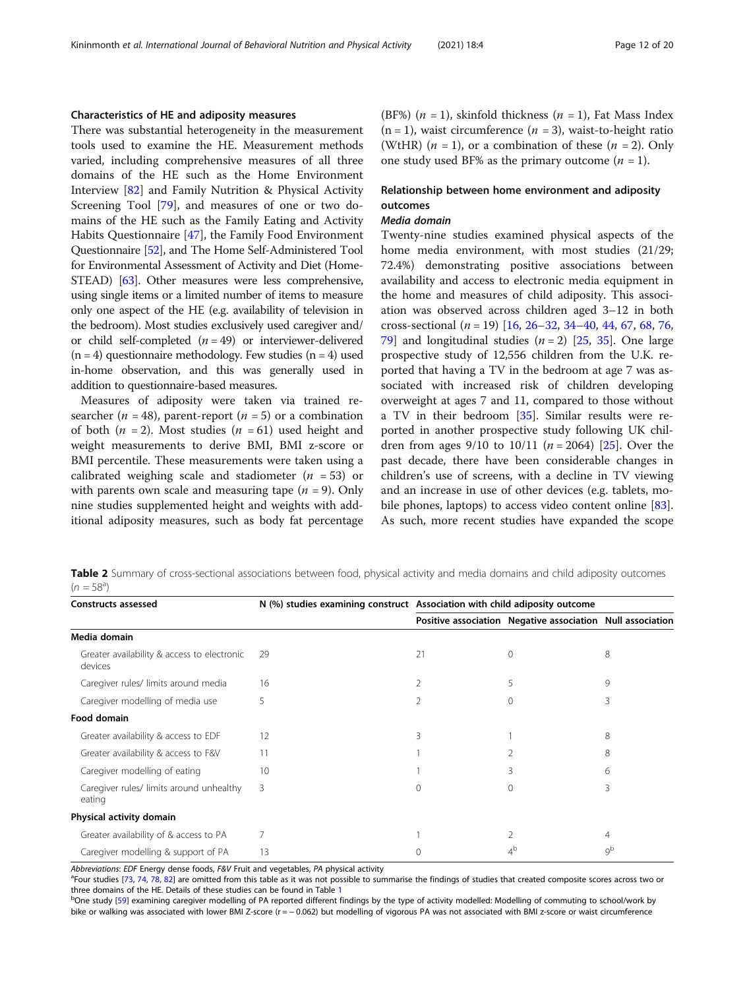## <span id="page-11-0"></span>Characteristics of HE and adiposity measures

There was substantial heterogeneity in the measurement tools used to examine the HE. Measurement methods varied, including comprehensive measures of all three domains of the HE such as the Home Environment Interview [[82\]](#page-19-0) and Family Nutrition & Physical Activity Screening Tool [[79](#page-19-0)], and measures of one or two domains of the HE such as the Family Eating and Activity Habits Questionnaire [[47\]](#page-18-0), the Family Food Environment Questionnaire [\[52](#page-18-0)], and The Home Self-Administered Tool for Environmental Assessment of Activity and Diet (Home-STEAD) [\[63](#page-18-0)]. Other measures were less comprehensive, using single items or a limited number of items to measure only one aspect of the HE (e.g. availability of television in the bedroom). Most studies exclusively used caregiver and/ or child self-completed  $(n = 49)$  or interviewer-delivered  $(n = 4)$  questionnaire methodology. Few studies  $(n = 4)$  used in-home observation, and this was generally used in addition to questionnaire-based measures.

Measures of adiposity were taken via trained researcher ( $n = 48$ ), parent-report ( $n = 5$ ) or a combination of both  $(n = 2)$ . Most studies  $(n = 61)$  used height and weight measurements to derive BMI, BMI z-score or BMI percentile. These measurements were taken using a calibrated weighing scale and stadiometer ( $n = 53$ ) or with parents own scale and measuring tape  $(n = 9)$ . Only nine studies supplemented height and weights with additional adiposity measures, such as body fat percentage (BF%) ( $n = 1$ ), skinfold thickness ( $n = 1$ ), Fat Mass Index  $(n = 1)$ , waist circumference  $(n = 3)$ , waist-to-height ratio (WtHR)  $(n = 1)$ , or a combination of these  $(n = 2)$ . Only one study used BF% as the primary outcome  $(n = 1)$ .

# Relationship between home environment and adiposity outcomes

#### Media domain

Twenty-nine studies examined physical aspects of the home media environment, with most studies (21/29; 72.4%) demonstrating positive associations between availability and access to electronic media equipment in the home and measures of child adiposity. This association was observed across children aged 3–12 in both cross-sectional  $(n = 19)$  [\[16,](#page-17-0) [26](#page-17-0)–[32,](#page-17-0) [34](#page-18-0)–[40](#page-18-0), [44](#page-18-0), [67](#page-19-0), [68](#page-19-0), [76](#page-19-0), [79\]](#page-19-0) and longitudinal studies  $(n = 2)$  [\[25,](#page-17-0) [35](#page-18-0)]. One large prospective study of 12,556 children from the U.K. reported that having a TV in the bedroom at age 7 was associated with increased risk of children developing overweight at ages 7 and 11, compared to those without a TV in their bedroom [[35\]](#page-18-0). Similar results were reported in another prospective study following UK children from ages  $9/10$  to  $10/11$  ( $n = 2064$ ) [\[25](#page-17-0)]. Over the past decade, there have been considerable changes in children's use of screens, with a decline in TV viewing and an increase in use of other devices (e.g. tablets, mo-bile phones, laptops) to access video content online [\[83](#page-19-0)]. As such, more recent studies have expanded the scope

Table 2 Summary of cross-sectional associations between food, physical activity and media domains and child adiposity outcomes  $(n = 58^{\circ})$ 

| <b>Constructs assessed</b>                             | N (%) studies examining construct Association with child adiposity outcome |          |                                                            |    |
|--------------------------------------------------------|----------------------------------------------------------------------------|----------|------------------------------------------------------------|----|
|                                                        |                                                                            |          | Positive association Negative association Null association |    |
| Media domain                                           |                                                                            |          |                                                            |    |
| Greater availability & access to electronic<br>devices | 29                                                                         | 21       | 0                                                          | 8  |
| Caregiver rules/ limits around media                   | 16                                                                         | 2        | 5                                                          | 9  |
| Caregiver modelling of media use                       | 5                                                                          | 2        | 0                                                          | 3  |
| <b>Food domain</b>                                     |                                                                            |          |                                                            |    |
| Greater availability & access to EDF                   | 12                                                                         | 3        |                                                            | 8  |
| Greater availability & access to F&V                   | 11                                                                         |          |                                                            | 8  |
| Caregiver modelling of eating                          | 10                                                                         |          | 3                                                          | 6  |
| Caregiver rules/ limits around unhealthy<br>eating     | 3                                                                          | $\Omega$ | $\Omega$                                                   | 3  |
| Physical activity domain                               |                                                                            |          |                                                            |    |
| Greater availability of & access to PA                 |                                                                            |          | $\overline{2}$                                             | 4  |
| Caregiver modelling & support of PA                    | 13                                                                         |          | 4¤                                                         | qb |

Abbreviations: EDF Energy dense foods, F&V Fruit and vegetables, PA physical activity

<sup>a</sup>Four studies [\[73](#page-19-0), [74](#page-19-0), [78,](#page-19-0) [82](#page-19-0)] are omitted from this table as it was not possible to summarise the findings of studies that created composite scores across two or three domains of the HE. Details of these studies can be found in Table [1](#page-4-0)

<sup>b</sup>One study [\[59](#page-18-0)] examining caregiver modelling of PA reported different findings by the type of activity modelled: Modelling of commuting to school/work by bike or walking was associated with lower BMI Z-score (r = − 0.062) but modelling of vigorous PA was not associated with BMI z-score or waist circumference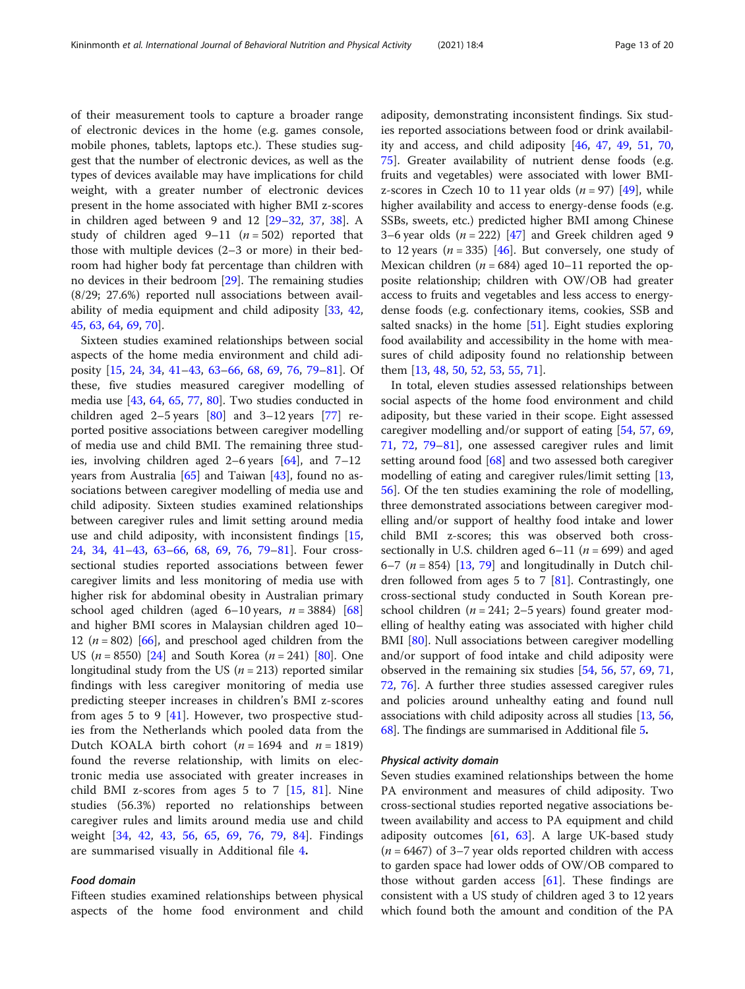of their measurement tools to capture a broader range of electronic devices in the home (e.g. games console, mobile phones, tablets, laptops etc.). These studies suggest that the number of electronic devices, as well as the types of devices available may have implications for child weight, with a greater number of electronic devices present in the home associated with higher BMI z-scores in children aged between 9 and 12 [\[29](#page-17-0)–[32,](#page-17-0) [37](#page-18-0), [38\]](#page-18-0). A study of children aged  $9-11$  ( $n = 502$ ) reported that those with multiple devices (2–3 or more) in their bedroom had higher body fat percentage than children with no devices in their bedroom [[29\]](#page-17-0). The remaining studies (8/29; 27.6%) reported null associations between availability of media equipment and child adiposity [\[33](#page-18-0), [42](#page-18-0), [45,](#page-18-0) [63](#page-18-0), [64](#page-19-0), [69](#page-19-0), [70](#page-19-0)].

Sixteen studies examined relationships between social aspects of the home media environment and child adiposity [[15,](#page-17-0) [24](#page-17-0), [34](#page-18-0), [41](#page-18-0)–[43,](#page-18-0) [63](#page-18-0)–[66](#page-19-0), [68,](#page-19-0) [69,](#page-19-0) [76](#page-19-0), [79](#page-19-0)–[81\]](#page-19-0). Of these, five studies measured caregiver modelling of media use [[43](#page-18-0), [64,](#page-19-0) [65,](#page-19-0) [77,](#page-19-0) [80](#page-19-0)]. Two studies conducted in children aged  $2-5$  years  $[80]$  and  $3-12$  years  $[77]$  reported positive associations between caregiver modelling of media use and child BMI. The remaining three studies, involving children aged 2–6 years  $[64]$ , and 7–12 years from Australia [\[65](#page-19-0)] and Taiwan [[43\]](#page-18-0), found no associations between caregiver modelling of media use and child adiposity. Sixteen studies examined relationships between caregiver rules and limit setting around media use and child adiposity, with inconsistent findings [[15](#page-17-0), [24,](#page-17-0) [34](#page-18-0), [41](#page-18-0)–[43,](#page-18-0) [63](#page-18-0)–[66,](#page-19-0) [68](#page-19-0), [69](#page-19-0), [76](#page-19-0), [79](#page-19-0)–[81\]](#page-19-0). Four crosssectional studies reported associations between fewer caregiver limits and less monitoring of media use with higher risk for abdominal obesity in Australian primary school aged children (aged 6–10 years,  $n = 3884$ ) [[68](#page-19-0)] and higher BMI scores in Malaysian children aged 10– 12 ( $n = 802$ ) [\[66\]](#page-19-0), and preschool aged children from the US  $(n = 8550)$  [\[24\]](#page-17-0) and South Korea  $(n = 241)$  [\[80\]](#page-19-0). One longitudinal study from the US ( $n = 213$ ) reported similar findings with less caregiver monitoring of media use predicting steeper increases in children's BMI z-scores from ages 5 to 9  $[41]$  $[41]$ . However, two prospective studies from the Netherlands which pooled data from the Dutch KOALA birth cohort ( $n = 1694$  and  $n = 1819$ ) found the reverse relationship, with limits on electronic media use associated with greater increases in child BMI z-scores from ages  $5$  to  $7$  [[15,](#page-17-0) [81\]](#page-19-0). Nine studies (56.3%) reported no relationships between caregiver rules and limits around media use and child weight [[34,](#page-18-0) [42,](#page-18-0) [43](#page-18-0), [56,](#page-18-0) [65,](#page-19-0) [69](#page-19-0), [76,](#page-19-0) [79,](#page-19-0) [84](#page-19-0)]. Findings are summarised visually in Additional file [4](#page-16-0).

#### Food domain

Fifteen studies examined relationships between physical aspects of the home food environment and child adiposity, demonstrating inconsistent findings. Six studies reported associations between food or drink availability and access, and child adiposity [[46,](#page-18-0) [47](#page-18-0), [49](#page-18-0), [51,](#page-18-0) [70](#page-19-0), [75\]](#page-19-0). Greater availability of nutrient dense foods (e.g. fruits and vegetables) were associated with lower BMIz-scores in Czech 10 to 11 year olds  $(n = 97)$  [\[49\]](#page-18-0), while higher availability and access to energy-dense foods (e.g. SSBs, sweets, etc.) predicted higher BMI among Chinese 3–6 year olds  $(n = 222)$  [[47\]](#page-18-0) and Greek children aged 9 to 12 years ( $n = 335$ ) [[46\]](#page-18-0). But conversely, one study of Mexican children ( $n = 684$ ) aged 10–11 reported the opposite relationship; children with OW/OB had greater access to fruits and vegetables and less access to energydense foods (e.g. confectionary items, cookies, SSB and salted snacks) in the home  $[51]$ . Eight studies exploring food availability and accessibility in the home with measures of child adiposity found no relationship between them [[13,](#page-17-0) [48,](#page-18-0) [50,](#page-18-0) [52](#page-18-0), [53](#page-18-0), [55](#page-18-0), [71](#page-19-0)].

In total, eleven studies assessed relationships between social aspects of the home food environment and child adiposity, but these varied in their scope. Eight assessed caregiver modelling and/or support of eating [\[54](#page-18-0), [57](#page-18-0), [69](#page-19-0), [71,](#page-19-0) [72,](#page-19-0) [79](#page-19-0)–[81](#page-19-0)], one assessed caregiver rules and limit setting around food  $\sqrt{68}$  $\sqrt{68}$  $\sqrt{68}$  and two assessed both caregiver modelling of eating and caregiver rules/limit setting [[13](#page-17-0), [56\]](#page-18-0). Of the ten studies examining the role of modelling, three demonstrated associations between caregiver modelling and/or support of healthy food intake and lower child BMI z-scores; this was observed both crosssectionally in U.S. children aged  $6-11$  ( $n = 699$ ) and aged 6–7 ( $n = 854$ ) [\[13](#page-17-0), [79](#page-19-0)] and longitudinally in Dutch children followed from ages 5 to 7 [[81](#page-19-0)]. Contrastingly, one cross-sectional study conducted in South Korean preschool children ( $n = 241$ ; 2–5 years) found greater modelling of healthy eating was associated with higher child BMI [\[80](#page-19-0)]. Null associations between caregiver modelling and/or support of food intake and child adiposity were observed in the remaining six studies [[54](#page-18-0), [56,](#page-18-0) [57,](#page-18-0) [69](#page-19-0), [71](#page-19-0), [72,](#page-19-0) [76\]](#page-19-0). A further three studies assessed caregiver rules and policies around unhealthy eating and found null associations with child adiposity across all studies [[13,](#page-17-0) [56](#page-18-0), [68](#page-19-0)]. The findings are summarised in Additional file [5](#page-16-0).

#### Physical activity domain

Seven studies examined relationships between the home PA environment and measures of child adiposity. Two cross-sectional studies reported negative associations between availability and access to PA equipment and child adiposity outcomes  $[61, 63]$  $[61, 63]$  $[61, 63]$  $[61, 63]$  $[61, 63]$ . A large UK-based study  $(n = 6467)$  of 3–7 year olds reported children with access to garden space had lower odds of OW/OB compared to those without garden access  $[61]$  $[61]$ . These findings are consistent with a US study of children aged 3 to 12 years which found both the amount and condition of the PA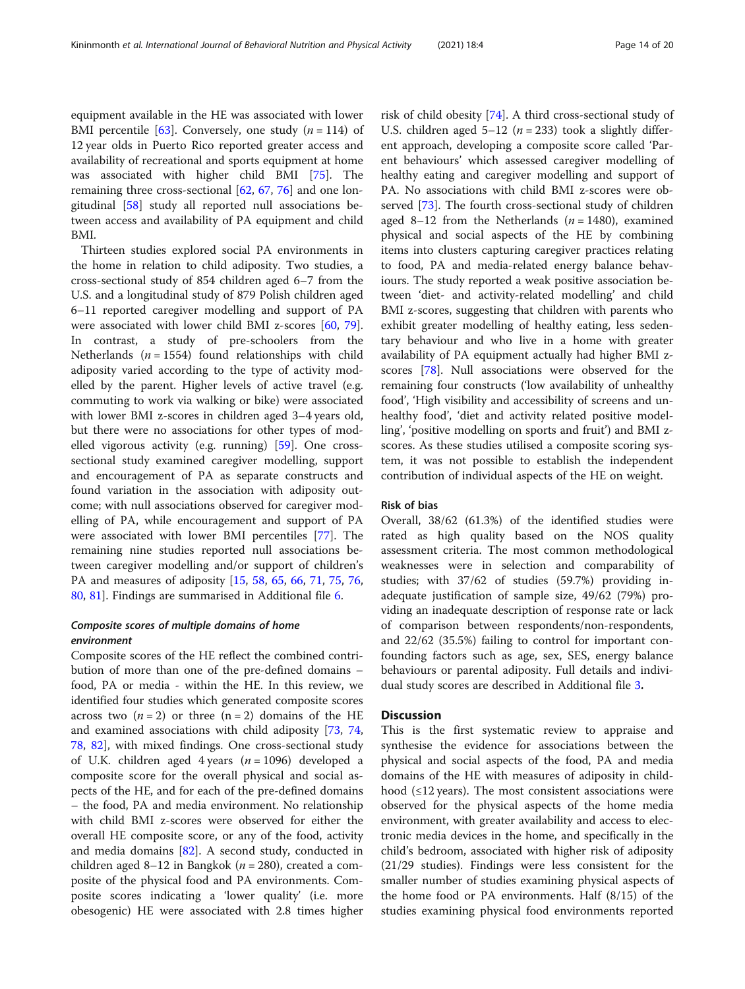equipment available in the HE was associated with lower BMI percentile [[63](#page-18-0)]. Conversely, one study  $(n = 114)$  of 12 year olds in Puerto Rico reported greater access and availability of recreational and sports equipment at home was associated with higher child BMI [\[75](#page-19-0)]. The remaining three cross-sectional [[62](#page-18-0), [67](#page-19-0), [76](#page-19-0)] and one longitudinal [\[58](#page-18-0)] study all reported null associations between access and availability of PA equipment and child BMI.

Thirteen studies explored social PA environments in the home in relation to child adiposity. Two studies, a cross-sectional study of 854 children aged 6–7 from the U.S. and a longitudinal study of 879 Polish children aged 6–11 reported caregiver modelling and support of PA were associated with lower child BMI z-scores [[60](#page-18-0), [79](#page-19-0)]. In contrast, a study of pre-schoolers from the Netherlands ( $n = 1554$ ) found relationships with child adiposity varied according to the type of activity modelled by the parent. Higher levels of active travel (e.g. commuting to work via walking or bike) were associated with lower BMI z-scores in children aged 3–4 years old, but there were no associations for other types of modelled vigorous activity (e.g. running) [[59](#page-18-0)]. One crosssectional study examined caregiver modelling, support and encouragement of PA as separate constructs and found variation in the association with adiposity outcome; with null associations observed for caregiver modelling of PA, while encouragement and support of PA were associated with lower BMI percentiles [[77\]](#page-19-0). The remaining nine studies reported null associations between caregiver modelling and/or support of children's PA and measures of adiposity [[15](#page-17-0), [58,](#page-18-0) [65](#page-19-0), [66](#page-19-0), [71,](#page-19-0) [75](#page-19-0), [76](#page-19-0), [80,](#page-19-0) [81](#page-19-0)]. Findings are summarised in Additional file [6](#page-16-0).

# Composite scores of multiple domains of home environment

Composite scores of the HE reflect the combined contribution of more than one of the pre-defined domains – food, PA or media - within the HE. In this review, we identified four studies which generated composite scores across two  $(n = 2)$  or three  $(n = 2)$  domains of the HE and examined associations with child adiposity [\[73](#page-19-0), [74](#page-19-0), [78,](#page-19-0) [82\]](#page-19-0), with mixed findings. One cross-sectional study of U.K. children aged 4 years ( $n = 1096$ ) developed a composite score for the overall physical and social aspects of the HE, and for each of the pre-defined domains – the food, PA and media environment. No relationship with child BMI z-scores were observed for either the overall HE composite score, or any of the food, activity and media domains [[82\]](#page-19-0). A second study, conducted in children aged 8–12 in Bangkok ( $n = 280$ ), created a composite of the physical food and PA environments. Composite scores indicating a 'lower quality' (i.e. more obesogenic) HE were associated with 2.8 times higher

risk of child obesity [\[74](#page-19-0)]. A third cross-sectional study of U.S. children aged  $5-12$  ( $n = 233$ ) took a slightly different approach, developing a composite score called 'Parent behaviours' which assessed caregiver modelling of healthy eating and caregiver modelling and support of PA. No associations with child BMI z-scores were observed [\[73](#page-19-0)]. The fourth cross-sectional study of children aged 8–12 from the Netherlands  $(n = 1480)$ , examined physical and social aspects of the HE by combining items into clusters capturing caregiver practices relating to food, PA and media-related energy balance behaviours. The study reported a weak positive association between 'diet- and activity-related modelling' and child BMI z-scores, suggesting that children with parents who exhibit greater modelling of healthy eating, less sedentary behaviour and who live in a home with greater availability of PA equipment actually had higher BMI zscores [\[78](#page-19-0)]. Null associations were observed for the remaining four constructs ('low availability of unhealthy food', 'High visibility and accessibility of screens and unhealthy food', 'diet and activity related positive modelling', 'positive modelling on sports and fruit') and BMI zscores. As these studies utilised a composite scoring system, it was not possible to establish the independent contribution of individual aspects of the HE on weight.

# Risk of bias

Overall, 38/62 (61.3%) of the identified studies were rated as high quality based on the NOS quality assessment criteria. The most common methodological weaknesses were in selection and comparability of studies; with 37/62 of studies (59.7%) providing inadequate justification of sample size, 49/62 (79%) providing an inadequate description of response rate or lack of comparison between respondents/non-respondents, and 22/62 (35.5%) failing to control for important confounding factors such as age, sex, SES, energy balance behaviours or parental adiposity. Full details and individual study scores are described in Additional file [3](#page-16-0).

# **Discussion**

This is the first systematic review to appraise and synthesise the evidence for associations between the physical and social aspects of the food, PA and media domains of the HE with measures of adiposity in childhood  $(\leq12 \text{ years})$ . The most consistent associations were observed for the physical aspects of the home media environment, with greater availability and access to electronic media devices in the home, and specifically in the child's bedroom, associated with higher risk of adiposity (21/29 studies). Findings were less consistent for the smaller number of studies examining physical aspects of the home food or PA environments. Half (8/15) of the studies examining physical food environments reported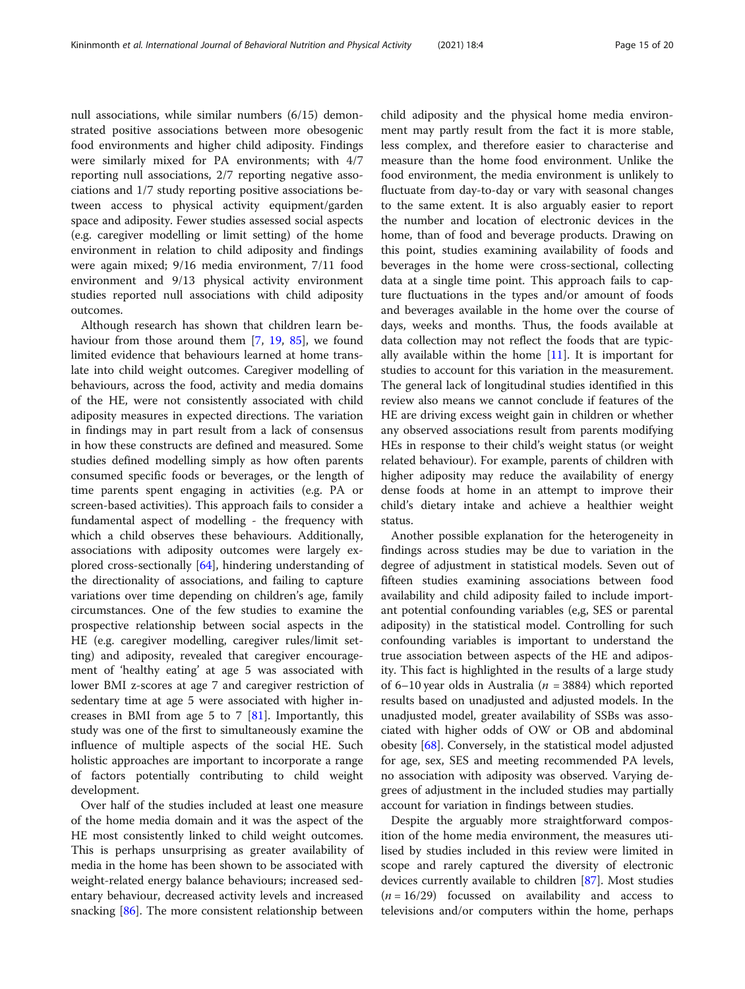null associations, while similar numbers (6/15) demonstrated positive associations between more obesogenic food environments and higher child adiposity. Findings were similarly mixed for PA environments; with 4/7 reporting null associations, 2/7 reporting negative associations and 1/7 study reporting positive associations between access to physical activity equipment/garden space and adiposity. Fewer studies assessed social aspects (e.g. caregiver modelling or limit setting) of the home environment in relation to child adiposity and findings were again mixed; 9/16 media environment, 7/11 food environment and 9/13 physical activity environment studies reported null associations with child adiposity outcomes.

Although research has shown that children learn behaviour from those around them [\[7,](#page-17-0) [19](#page-17-0), [85](#page-19-0)], we found limited evidence that behaviours learned at home translate into child weight outcomes. Caregiver modelling of behaviours, across the food, activity and media domains of the HE, were not consistently associated with child adiposity measures in expected directions. The variation in findings may in part result from a lack of consensus in how these constructs are defined and measured. Some studies defined modelling simply as how often parents consumed specific foods or beverages, or the length of time parents spent engaging in activities (e.g. PA or screen-based activities). This approach fails to consider a fundamental aspect of modelling - the frequency with which a child observes these behaviours. Additionally, associations with adiposity outcomes were largely explored cross-sectionally [[64](#page-19-0)], hindering understanding of the directionality of associations, and failing to capture variations over time depending on children's age, family circumstances. One of the few studies to examine the prospective relationship between social aspects in the HE (e.g. caregiver modelling, caregiver rules/limit setting) and adiposity, revealed that caregiver encouragement of 'healthy eating' at age 5 was associated with lower BMI z-scores at age 7 and caregiver restriction of sedentary time at age 5 were associated with higher increases in BMI from age 5 to 7 [\[81\]](#page-19-0). Importantly, this study was one of the first to simultaneously examine the influence of multiple aspects of the social HE. Such holistic approaches are important to incorporate a range of factors potentially contributing to child weight development.

Over half of the studies included at least one measure of the home media domain and it was the aspect of the HE most consistently linked to child weight outcomes. This is perhaps unsurprising as greater availability of media in the home has been shown to be associated with weight-related energy balance behaviours; increased sedentary behaviour, decreased activity levels and increased snacking [[86](#page-19-0)]. The more consistent relationship between

child adiposity and the physical home media environment may partly result from the fact it is more stable, less complex, and therefore easier to characterise and measure than the home food environment. Unlike the food environment, the media environment is unlikely to fluctuate from day-to-day or vary with seasonal changes to the same extent. It is also arguably easier to report the number and location of electronic devices in the home, than of food and beverage products. Drawing on this point, studies examining availability of foods and beverages in the home were cross-sectional, collecting data at a single time point. This approach fails to capture fluctuations in the types and/or amount of foods and beverages available in the home over the course of days, weeks and months. Thus, the foods available at data collection may not reflect the foods that are typically available within the home  $[11]$  $[11]$ . It is important for studies to account for this variation in the measurement. The general lack of longitudinal studies identified in this review also means we cannot conclude if features of the HE are driving excess weight gain in children or whether any observed associations result from parents modifying HEs in response to their child's weight status (or weight related behaviour). For example, parents of children with higher adiposity may reduce the availability of energy dense foods at home in an attempt to improve their child's dietary intake and achieve a healthier weight status.

Another possible explanation for the heterogeneity in findings across studies may be due to variation in the degree of adjustment in statistical models. Seven out of fifteen studies examining associations between food availability and child adiposity failed to include important potential confounding variables (e,g, SES or parental adiposity) in the statistical model. Controlling for such confounding variables is important to understand the true association between aspects of the HE and adiposity. This fact is highlighted in the results of a large study of 6–10 year olds in Australia ( $n = 3884$ ) which reported results based on unadjusted and adjusted models. In the unadjusted model, greater availability of SSBs was associated with higher odds of OW or OB and abdominal obesity [[68](#page-19-0)]. Conversely, in the statistical model adjusted for age, sex, SES and meeting recommended PA levels, no association with adiposity was observed. Varying degrees of adjustment in the included studies may partially account for variation in findings between studies.

Despite the arguably more straightforward composition of the home media environment, the measures utilised by studies included in this review were limited in scope and rarely captured the diversity of electronic devices currently available to children [\[87](#page-19-0)]. Most studies  $(n = 16/29)$  focussed on availability and access to televisions and/or computers within the home, perhaps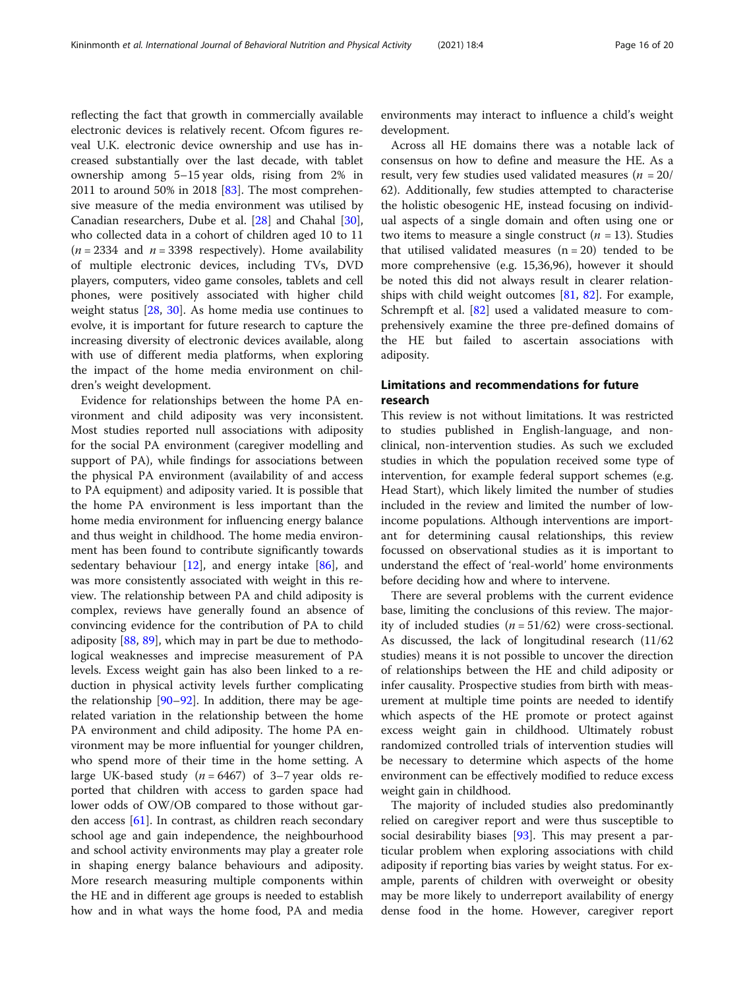reflecting the fact that growth in commercially available electronic devices is relatively recent. Ofcom figures reveal U.K. electronic device ownership and use has increased substantially over the last decade, with tablet ownership among 5–15 year olds, rising from 2% in 2011 to around 50% in 2018  $[83]$  $[83]$ . The most comprehensive measure of the media environment was utilised by Canadian researchers, Dube et al. [\[28\]](#page-17-0) and Chahal [\[30](#page-17-0)], who collected data in a cohort of children aged 10 to 11 ( $n = 2334$  and  $n = 3398$  respectively). Home availability of multiple electronic devices, including TVs, DVD players, computers, video game consoles, tablets and cell phones, were positively associated with higher child weight status [[28,](#page-17-0) [30](#page-17-0)]. As home media use continues to evolve, it is important for future research to capture the increasing diversity of electronic devices available, along with use of different media platforms, when exploring the impact of the home media environment on children's weight development.

Evidence for relationships between the home PA environment and child adiposity was very inconsistent. Most studies reported null associations with adiposity for the social PA environment (caregiver modelling and support of PA), while findings for associations between the physical PA environment (availability of and access to PA equipment) and adiposity varied. It is possible that the home PA environment is less important than the home media environment for influencing energy balance and thus weight in childhood. The home media environment has been found to contribute significantly towards sedentary behaviour  $[12]$  $[12]$ , and energy intake  $[86]$  $[86]$ , and was more consistently associated with weight in this review. The relationship between PA and child adiposity is complex, reviews have generally found an absence of convincing evidence for the contribution of PA to child adiposity [\[88,](#page-19-0) [89\]](#page-19-0), which may in part be due to methodological weaknesses and imprecise measurement of PA levels. Excess weight gain has also been linked to a reduction in physical activity levels further complicating the relationship  $[90-92]$  $[90-92]$  $[90-92]$ . In addition, there may be agerelated variation in the relationship between the home PA environment and child adiposity. The home PA environment may be more influential for younger children, who spend more of their time in the home setting. A large UK-based study ( $n = 6467$ ) of 3-7 year olds reported that children with access to garden space had lower odds of OW/OB compared to those without garden access [[61\]](#page-18-0). In contrast, as children reach secondary school age and gain independence, the neighbourhood and school activity environments may play a greater role in shaping energy balance behaviours and adiposity. More research measuring multiple components within the HE and in different age groups is needed to establish how and in what ways the home food, PA and media environments may interact to influence a child's weight development.

Across all HE domains there was a notable lack of consensus on how to define and measure the HE. As a result, very few studies used validated measures ( $n = 20/$ 62). Additionally, few studies attempted to characterise the holistic obesogenic HE, instead focusing on individual aspects of a single domain and often using one or two items to measure a single construct ( $n = 13$ ). Studies that utilised validated measures  $(n = 20)$  tended to be more comprehensive (e.g. 15,36,96), however it should be noted this did not always result in clearer relationships with child weight outcomes  $[81, 82]$  $[81, 82]$  $[81, 82]$  $[81, 82]$  $[81, 82]$ . For example, Schrempft et al. [[82](#page-19-0)] used a validated measure to comprehensively examine the three pre-defined domains of the HE but failed to ascertain associations with adiposity.

# Limitations and recommendations for future research

This review is not without limitations. It was restricted to studies published in English-language, and nonclinical, non-intervention studies. As such we excluded studies in which the population received some type of intervention, for example federal support schemes (e.g. Head Start), which likely limited the number of studies included in the review and limited the number of lowincome populations. Although interventions are important for determining causal relationships, this review focussed on observational studies as it is important to understand the effect of 'real-world' home environments before deciding how and where to intervene.

There are several problems with the current evidence base, limiting the conclusions of this review. The majority of included studies  $(n = 51/62)$  were cross-sectional. As discussed, the lack of longitudinal research (11/62 studies) means it is not possible to uncover the direction of relationships between the HE and child adiposity or infer causality. Prospective studies from birth with measurement at multiple time points are needed to identify which aspects of the HE promote or protect against excess weight gain in childhood. Ultimately robust randomized controlled trials of intervention studies will be necessary to determine which aspects of the home environment can be effectively modified to reduce excess weight gain in childhood.

The majority of included studies also predominantly relied on caregiver report and were thus susceptible to social desirability biases [\[93](#page-19-0)]. This may present a particular problem when exploring associations with child adiposity if reporting bias varies by weight status. For example, parents of children with overweight or obesity may be more likely to underreport availability of energy dense food in the home. However, caregiver report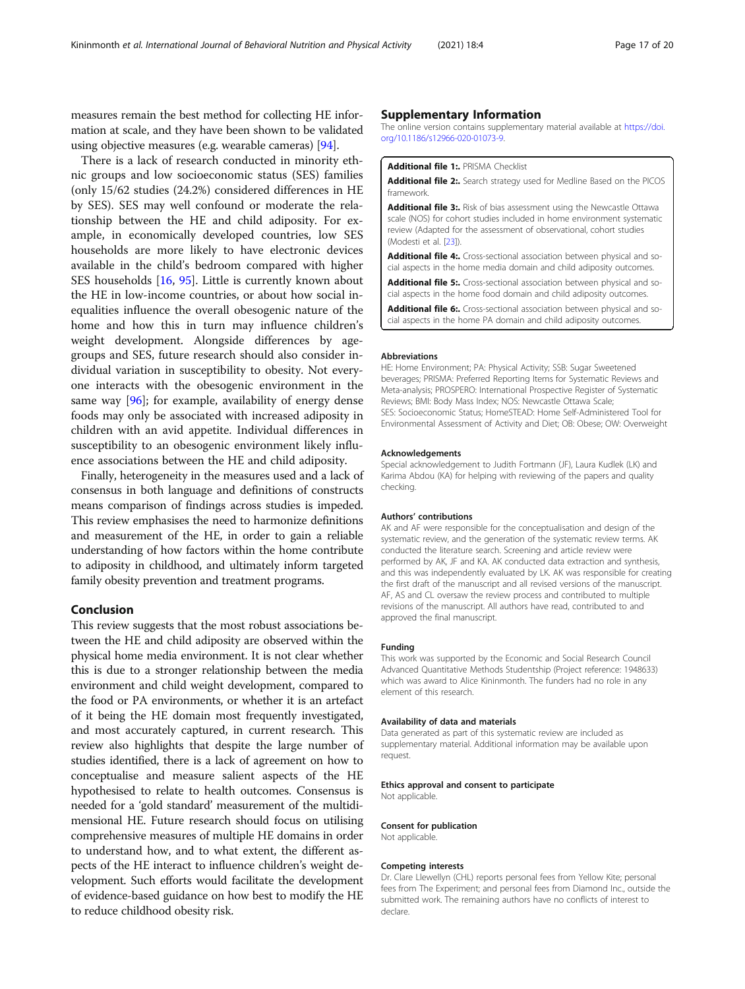<span id="page-16-0"></span>measures remain the best method for collecting HE information at scale, and they have been shown to be validated using objective measures (e.g. wearable cameras) [\[94](#page-19-0)].

There is a lack of research conducted in minority ethnic groups and low socioeconomic status (SES) families (only 15/62 studies (24.2%) considered differences in HE by SES). SES may well confound or moderate the relationship between the HE and child adiposity. For example, in economically developed countries, low SES households are more likely to have electronic devices available in the child's bedroom compared with higher SES households [[16,](#page-17-0) [95](#page-19-0)]. Little is currently known about the HE in low-income countries, or about how social inequalities influence the overall obesogenic nature of the home and how this in turn may influence children's weight development. Alongside differences by agegroups and SES, future research should also consider individual variation in susceptibility to obesity. Not everyone interacts with the obesogenic environment in the same way [[96\]](#page-19-0); for example, availability of energy dense foods may only be associated with increased adiposity in children with an avid appetite. Individual differences in susceptibility to an obesogenic environment likely influence associations between the HE and child adiposity.

Finally, heterogeneity in the measures used and a lack of consensus in both language and definitions of constructs means comparison of findings across studies is impeded. This review emphasises the need to harmonize definitions and measurement of the HE, in order to gain a reliable understanding of how factors within the home contribute to adiposity in childhood, and ultimately inform targeted family obesity prevention and treatment programs.

# Conclusion

This review suggests that the most robust associations between the HE and child adiposity are observed within the physical home media environment. It is not clear whether this is due to a stronger relationship between the media environment and child weight development, compared to the food or PA environments, or whether it is an artefact of it being the HE domain most frequently investigated, and most accurately captured, in current research. This review also highlights that despite the large number of studies identified, there is a lack of agreement on how to conceptualise and measure salient aspects of the HE hypothesised to relate to health outcomes. Consensus is needed for a 'gold standard' measurement of the multidimensional HE. Future research should focus on utilising comprehensive measures of multiple HE domains in order to understand how, and to what extent, the different aspects of the HE interact to influence children's weight development. Such efforts would facilitate the development of evidence-based guidance on how best to modify the HE to reduce childhood obesity risk.

#### Supplementary Information

The online version contains supplementary material available at [https://doi.](https://doi.org/10.1186/s12966-020-01073-9) [org/10.1186/s12966-020-01073-9.](https://doi.org/10.1186/s12966-020-01073-9)

#### Additional file 1: PRISMA Checklist

Additional file 2:. Search strategy used for Medline Based on the PICOS framework.

Additional file 3:. Risk of bias assessment using the Newcastle Ottawa scale (NOS) for cohort studies included in home environment systematic review (Adapted for the assessment of observational, cohort studies (Modesti et al. [23]).

Additional file 4:. Cross-sectional association between physical and social aspects in the home media domain and child adiposity outcomes.

Additional file 5:. Cross-sectional association between physical and social aspects in the home food domain and child adiposity outcomes.

Additional file 6:. Cross-sectional association between physical and social aspects in the home PA domain and child adiposity outcomes.

#### Abbreviations

HE: Home Environment; PA: Physical Activity; SSB: Sugar Sweetened beverages; PRISMA: Preferred Reporting Items for Systematic Reviews and Meta-analysis; PROSPERO: International Prospective Register of Systematic Reviews; BMI: Body Mass Index; NOS: Newcastle Ottawa Scale; SES: Socioeconomic Status; HomeSTEAD: Home Self-Administered Tool for Environmental Assessment of Activity and Diet; OB: Obese; OW: Overweight

#### Acknowledgements

Special acknowledgement to Judith Fortmann (JF), Laura Kudlek (LK) and Karima Abdou (KA) for helping with reviewing of the papers and quality checking.

#### Authors' contributions

AK and AF were responsible for the conceptualisation and design of the systematic review, and the generation of the systematic review terms. AK conducted the literature search. Screening and article review were performed by AK, JF and KA. AK conducted data extraction and synthesis, and this was independently evaluated by LK. AK was responsible for creating the first draft of the manuscript and all revised versions of the manuscript. AF, AS and CL oversaw the review process and contributed to multiple revisions of the manuscript. All authors have read, contributed to and approved the final manuscript.

#### Funding

This work was supported by the Economic and Social Research Council Advanced Quantitative Methods Studentship (Project reference: 1948633) which was award to Alice Kininmonth. The funders had no role in any element of this research.

#### Availability of data and materials

Data generated as part of this systematic review are included as supplementary material. Additional information may be available upon request.

#### Ethics approval and consent to participate Not applicable.

#### Consent for publication

Not applicable.

#### Competing interests

Dr. Clare Llewellyn (CHL) reports personal fees from Yellow Kite; personal fees from The Experiment; and personal fees from Diamond Inc., outside the submitted work. The remaining authors have no conflicts of interest to declare.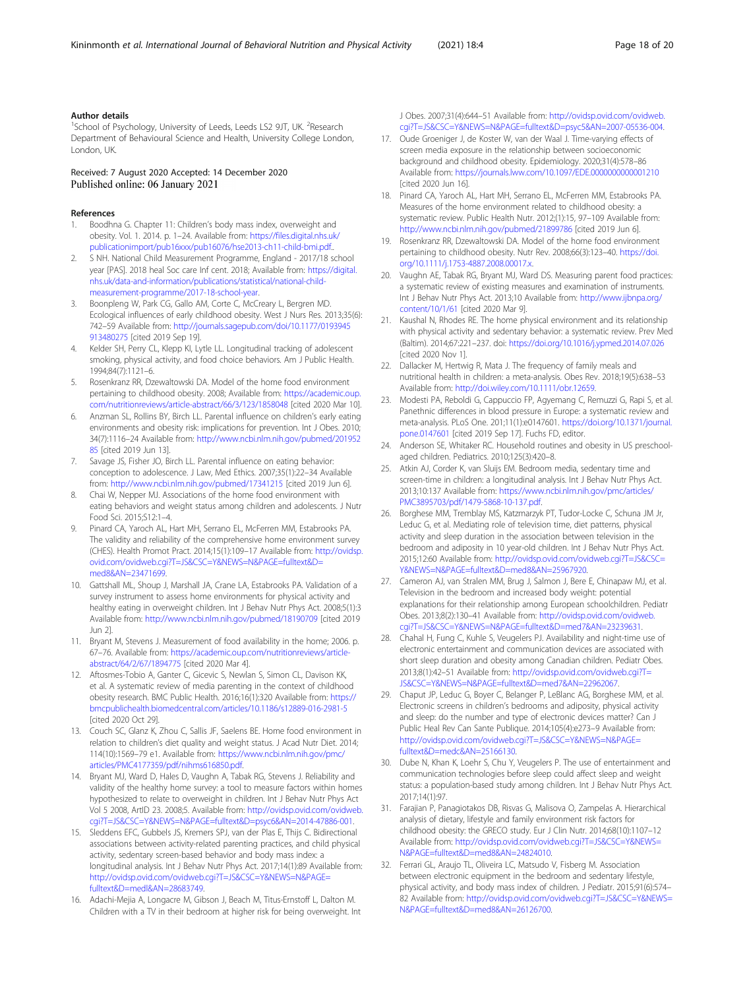#### <span id="page-17-0"></span>Author details

<sup>1</sup>School of Psychology, University of Leeds, Leeds LS2 9JT, UK. <sup>2</sup>Research Department of Behavioural Science and Health, University College London, London, UK.

#### Received: 7 August 2020 Accepted: 14 December 2020 Published online: 06 January 2021

#### References

- 1. Boodhna G. Chapter 11: Children's body mass index, overweight and obesity. Vol. 1. 2014. p. 1–24. Available from: [https://files.digital.nhs.uk/](https://files.digital.nhs.uk/publicationimport/pub16xxx/pub16076/hse2013-ch11-child-bmi.pdf) [publicationimport/pub16xxx/pub16076/hse2013-ch11-child-bmi.pdf.](https://files.digital.nhs.uk/publicationimport/pub16xxx/pub16076/hse2013-ch11-child-bmi.pdf).
- 2. S NH. National Child Measurement Programme, England 2017/18 school year [PAS]. 2018 heal Soc care Inf cent. 2018; Available from: [https://digital.](https://digital.nhs.uk/data-and-information/publications/statistical/national-child-measurement-programme/2017-18-school-year) [nhs.uk/data-and-information/publications/statistical/national-child](https://digital.nhs.uk/data-and-information/publications/statistical/national-child-measurement-programme/2017-18-school-year)[measurement-programme/2017-18-school-year](https://digital.nhs.uk/data-and-information/publications/statistical/national-child-measurement-programme/2017-18-school-year).
- 3. Boonpleng W, Park CG, Gallo AM, Corte C, McCreary L, Bergren MD. Ecological influences of early childhood obesity. West J Nurs Res. 2013;35(6): 742–59 Available from: [http://journals.sagepub.com/doi/10.1177/0193945](http://journals.sagepub.com/doi/10.1177/0193945913480275) [913480275](http://journals.sagepub.com/doi/10.1177/0193945913480275) [cited 2019 Sep 19].
- 4. Kelder SH, Perry CL, Klepp KI, Lytle LL. Longitudinal tracking of adolescent smoking, physical activity, and food choice behaviors. Am J Public Health. 1994;84(7):1121–6.
- Rosenkranz RR, Dzewaltowski DA. Model of the home food environment pertaining to childhood obesity. 2008; Available from: [https://academic.oup.](https://academic.oup.com/nutritionreviews/article-abstract/66/3/123/1858048) [com/nutritionreviews/article-abstract/66/3/123/1858048](https://academic.oup.com/nutritionreviews/article-abstract/66/3/123/1858048) [cited 2020 Mar 10].
- 6. Anzman SL, Rollins BY, Birch LL. Parental influence on children's early eating environments and obesity risk: implications for prevention. Int J Obes. 2010; 34(7):1116–24 Available from: [http://www.ncbi.nlm.nih.gov/pubmed/201952](http://www.ncbi.nlm.nih.gov/pubmed/20195285) [85](http://www.ncbi.nlm.nih.gov/pubmed/20195285) [cited 2019 Jun 13].
- Savage JS, Fisher JO, Birch LL. Parental influence on eating behavior: conception to adolescence. J Law, Med Ethics. 2007;35(1):22–34 Available from: <http://www.ncbi.nlm.nih.gov/pubmed/17341215> [cited 2019 Jun 6].
- Chai W, Nepper MJ. Associations of the home food environment with eating behaviors and weight status among children and adolescents. J Nutr Food Sci. 2015;S12:1–4.
- 9. Pinard CA, Yaroch AL, Hart MH, Serrano EL, McFerren MM, Estabrooks PA. The validity and reliability of the comprehensive home environment survey (CHES). Health Promot Pract. 2014;15(1):109–17 Available from: [http://ovidsp.](http://ovidsp.ovid.com/ovidweb.cgi?T=JS&CSC=Y&NEWS=N&PAGE=fulltext&D=med8&AN=23471699) [ovid.com/ovidweb.cgi?T=JS&CSC=Y&NEWS=N&PAGE=fulltext&D=](http://ovidsp.ovid.com/ovidweb.cgi?T=JS&CSC=Y&NEWS=N&PAGE=fulltext&D=med8&AN=23471699) [med8&AN=23471699](http://ovidsp.ovid.com/ovidweb.cgi?T=JS&CSC=Y&NEWS=N&PAGE=fulltext&D=med8&AN=23471699).
- 10. Gattshall ML, Shoup J, Marshall JA, Crane LA, Estabrooks PA. Validation of a survey instrument to assess home environments for physical activity and healthy eating in overweight children. Int J Behav Nutr Phys Act. 2008;5(1):3 Available from: <http://www.ncbi.nlm.nih.gov/pubmed/18190709> [cited 2019 Jun 2].
- 11. Bryant M, Stevens J. Measurement of food availability in the home; 2006. p. 67–76. Available from: [https://academic.oup.com/nutritionreviews/article](https://academic.oup.com/nutritionreviews/article-abstract/64/2/67/1894775)[abstract/64/2/67/1894775](https://academic.oup.com/nutritionreviews/article-abstract/64/2/67/1894775) [cited 2020 Mar 4].
- 12. Aftosmes-Tobio A, Ganter C, Gicevic S, Newlan S, Simon CL, Davison KK, et al. A systematic review of media parenting in the context of childhood obesity research. BMC Public Health. 2016;16(1):320 Available from: [https://](https://bmcpublichealth.biomedcentral.com/articles/10.1186/s12889-016-2981-5) [bmcpublichealth.biomedcentral.com/articles/10.1186/s12889-016-2981-5](https://bmcpublichealth.biomedcentral.com/articles/10.1186/s12889-016-2981-5) [cited 2020 Oct 29].
- 13. Couch SC, Glanz K, Zhou C, Sallis JF, Saelens BE. Home food environment in relation to children's diet quality and weight status. J Acad Nutr Diet. 2014; 114(10):1569–79 e1. Available from: [https://www.ncbi.nlm.nih.gov/pmc/](https://www.ncbi.nlm.nih.gov/pmc/articles/PMC4177359/pdf/nihms616850.pdf) [articles/PMC4177359/pdf/nihms616850.pdf.](https://www.ncbi.nlm.nih.gov/pmc/articles/PMC4177359/pdf/nihms616850.pdf)
- 14. Bryant MJ, Ward D, Hales D, Vaughn A, Tabak RG, Stevens J. Reliability and validity of the healthy home survey: a tool to measure factors within homes hypothesized to relate to overweight in children. Int J Behav Nutr Phys Act Vol 5 2008, ArtID 23. 2008;5. Available from: [http://ovidsp.ovid.com/ovidweb.](http://ovidsp.ovid.com/ovidweb.cgi?T=JS&CSC=Y&NEWS=N&PAGE=fulltext&D=psyc6&AN=2014-47886-001) [cgi?T=JS&CSC=Y&NEWS=N&PAGE=fulltext&D=psyc6&AN=2014-47886-001](http://ovidsp.ovid.com/ovidweb.cgi?T=JS&CSC=Y&NEWS=N&PAGE=fulltext&D=psyc6&AN=2014-47886-001).
- 15. Sleddens EFC, Gubbels JS, Kremers SPJ, van der Plas E, Thijs C. Bidirectional associations between activity-related parenting practices, and child physical activity, sedentary screen-based behavior and body mass index: a longitudinal analysis. Int J Behav Nutr Phys Act. 2017;14(1):89 Available from: [http://ovidsp.ovid.com/ovidweb.cgi?T=JS&CSC=Y&NEWS=N&PAGE=](http://ovidsp.ovid.com/ovidweb.cgi?T=JS&CSC=Y&NEWS=N&PAGE=fulltext&D=medl&AN=28683749) [fulltext&D=medl&AN=28683749](http://ovidsp.ovid.com/ovidweb.cgi?T=JS&CSC=Y&NEWS=N&PAGE=fulltext&D=medl&AN=28683749).
- 16. Adachi-Mejia A, Longacre M, Gibson J, Beach M, Titus-Ernstoff L, Dalton M. Children with a TV in their bedroom at higher risk for being overweight. Int

J Obes. 2007;31(4):644–51 Available from: [http://ovidsp.ovid.com/ovidweb.](http://ovidsp.ovid.com/ovidweb.cgi?T=JS&CSC=Y&NEWS=N&PAGE=fulltext&D=psyc5&AN=2007-05536-004) [cgi?T=JS&CSC=Y&NEWS=N&PAGE=fulltext&D=psyc5&AN=2007-05536-004](http://ovidsp.ovid.com/ovidweb.cgi?T=JS&CSC=Y&NEWS=N&PAGE=fulltext&D=psyc5&AN=2007-05536-004).

- 17. Oude Groeniger J, de Koster W, van der Waal J. Time-varying effects of screen media exposure in the relationship between socioeconomic background and childhood obesity. Epidemiology. 2020;31(4):578–86 Available from: <https://journals.lww.com/10.1097/EDE.0000000000001210> [cited 2020 Jun 16].
- 18. Pinard CA, Yaroch AL, Hart MH, Serrano EL, McFerren MM, Estabrooks PA. Measures of the home environment related to childhood obesity: a systematic review. Public Health Nutr. 2012;(1):15, 97–109 Available from: <http://www.ncbi.nlm.nih.gov/pubmed/21899786> [cited 2019 Jun 6].
- 19. Rosenkranz RR, Dzewaltowski DA. Model of the home food environment pertaining to childhood obesity. Nutr Rev. 2008;66(3):123–40. [https://doi.](https://doi.org/10.1111/j.1753-4887.2008.00017.x) [org/10.1111/j.1753-4887.2008.00017.x](https://doi.org/10.1111/j.1753-4887.2008.00017.x).
- 20. Vaughn AE, Tabak RG, Bryant MJ, Ward DS. Measuring parent food practices: a systematic review of existing measures and examination of instruments. Int J Behav Nutr Phys Act. 2013;10 Available from: [http://www.ijbnpa.org/](http://www.ijbnpa.org/content/10/1/61) [content/10/1/61](http://www.ijbnpa.org/content/10/1/61) [cited 2020 Mar 9].
- 21. Kaushal N, Rhodes RE. The home physical environment and its relationship with physical activity and sedentary behavior: a systematic review. Prev Med (Baltim). 2014;67:221–237. doi: <https://doi.org/10.1016/j.ypmed.2014.07.026> [cited 2020 Nov 1].
- 22. Dallacker M, Hertwig R, Mata J. The frequency of family meals and nutritional health in children: a meta-analysis. Obes Rev. 2018;19(5):638–53 Available from: <http://doi.wiley.com/10.1111/obr.12659>.
- 23. Modesti PA, Reboldi G, Cappuccio FP, Agyemang C, Remuzzi G, Rapi S, et al. Panethnic differences in blood pressure in Europe: a systematic review and meta-analysis. PLoS One. 201;11(1):e0147601. [https://doi.org/10.1371/journal.](https://doi.org/10.1371/journal.pone.0147601) [pone.0147601](https://doi.org/10.1371/journal.pone.0147601) [cited 2019 Sep 17]. Fuchs FD, editor.
- 24. Anderson SE, Whitaker RC. Household routines and obesity in US preschoolaged children. Pediatrics. 2010;125(3):420–8.
- 25. Atkin AJ, Corder K, van Sluijs EM. Bedroom media, sedentary time and screen-time in children: a longitudinal analysis. Int J Behav Nutr Phys Act. 2013;10:137 Available from: [https://www.ncbi.nlm.nih.gov/pmc/articles/](https://www.ncbi.nlm.nih.gov/pmc/articles/PMC3895703/pdf/1479-5868-10-137.pdf) [PMC3895703/pdf/1479-5868-10-137.pdf.](https://www.ncbi.nlm.nih.gov/pmc/articles/PMC3895703/pdf/1479-5868-10-137.pdf)
- 26. Borghese MM, Tremblay MS, Katzmarzyk PT, Tudor-Locke C, Schuna JM Jr, Leduc G, et al. Mediating role of television time, diet patterns, physical activity and sleep duration in the association between television in the bedroom and adiposity in 10 year-old children. Int J Behav Nutr Phys Act. 2015;12:60 Available from: [http://ovidsp.ovid.com/ovidweb.cgi?T=JS&CSC=](http://ovidsp.ovid.com/ovidweb.cgi?T=JS&CSC=Y&NEWS=N&PAGE=fulltext&D=med8&AN=25967920) [Y&NEWS=N&PAGE=fulltext&D=med8&AN=25967920.](http://ovidsp.ovid.com/ovidweb.cgi?T=JS&CSC=Y&NEWS=N&PAGE=fulltext&D=med8&AN=25967920)
- 27. Cameron AJ, van Stralen MM, Brug J, Salmon J, Bere E, Chinapaw MJ, et al. Television in the bedroom and increased body weight: potential explanations for their relationship among European schoolchildren. Pediatr Obes. 2013;8(2):130–41 Available from: [http://ovidsp.ovid.com/ovidweb.](http://ovidsp.ovid.com/ovidweb.cgi?T=JS&CSC=Y&NEWS=N&PAGE=fulltext&D=med7&AN=23239631) [cgi?T=JS&CSC=Y&NEWS=N&PAGE=fulltext&D=med7&AN=23239631.](http://ovidsp.ovid.com/ovidweb.cgi?T=JS&CSC=Y&NEWS=N&PAGE=fulltext&D=med7&AN=23239631)
- 28. Chahal H, Fung C, Kuhle S, Veugelers PJ. Availability and night-time use of electronic entertainment and communication devices are associated with short sleep duration and obesity among Canadian children. Pediatr Obes. 2013;8(1):42–51 Available from: [http://ovidsp.ovid.com/ovidweb.cgi?T=](http://ovidsp.ovid.com/ovidweb.cgi?T=JS&CSC=Y&NEWS=N&PAGE=fulltext&D=med7&AN=22962067) [JS&CSC=Y&NEWS=N&PAGE=fulltext&D=med7&AN=22962067](http://ovidsp.ovid.com/ovidweb.cgi?T=JS&CSC=Y&NEWS=N&PAGE=fulltext&D=med7&AN=22962067).
- 29. Chaput JP, Leduc G, Boyer C, Belanger P, LeBlanc AG, Borghese MM, et al. Electronic screens in children's bedrooms and adiposity, physical activity and sleep: do the number and type of electronic devices matter? Can J Public Heal Rev Can Sante Publique. 2014;105(4):e273–9 Available from: [http://ovidsp.ovid.com/ovidweb.cgi?T=JS&CSC=Y&NEWS=N&PAGE=](http://ovidsp.ovid.com/ovidweb.cgi?T=JS&CSC=Y&NEWS=N&PAGE=fulltext&D=medc&AN=25166130) [fulltext&D=medc&AN=25166130](http://ovidsp.ovid.com/ovidweb.cgi?T=JS&CSC=Y&NEWS=N&PAGE=fulltext&D=medc&AN=25166130).
- 30. Dube N, Khan K, Loehr S, Chu Y, Veugelers P. The use of entertainment and communication technologies before sleep could affect sleep and weight status: a population-based study among children. Int J Behav Nutr Phys Act. 2017;14(1):97.
- 31. Farajian P, Panagiotakos DB, Risvas G, Malisova O, Zampelas A. Hierarchical analysis of dietary, lifestyle and family environment risk factors for childhood obesity: the GRECO study. Eur J Clin Nutr. 2014;68(10):1107–12 Available from: [http://ovidsp.ovid.com/ovidweb.cgi?T=JS&CSC=Y&NEWS=](http://ovidsp.ovid.com/ovidweb.cgi?T=JS&CSC=Y&NEWS=N&PAGE=fulltext&D=med8&AN=24824010) [N&PAGE=fulltext&D=med8&AN=24824010](http://ovidsp.ovid.com/ovidweb.cgi?T=JS&CSC=Y&NEWS=N&PAGE=fulltext&D=med8&AN=24824010).
- 32. Ferrari GL, Araujo TL, Oliveira LC, Matsudo V, Fisberg M. Association between electronic equipment in the bedroom and sedentary lifestyle, physical activity, and body mass index of children. J Pediatr. 2015;91(6):574– 82 Available from: [http://ovidsp.ovid.com/ovidweb.cgi?T=JS&CSC=Y&NEWS=](http://ovidsp.ovid.com/ovidweb.cgi?T=JS&CSC=Y&NEWS=N&PAGE=fulltext&D=med8&AN=26126700) [N&PAGE=fulltext&D=med8&AN=26126700](http://ovidsp.ovid.com/ovidweb.cgi?T=JS&CSC=Y&NEWS=N&PAGE=fulltext&D=med8&AN=26126700).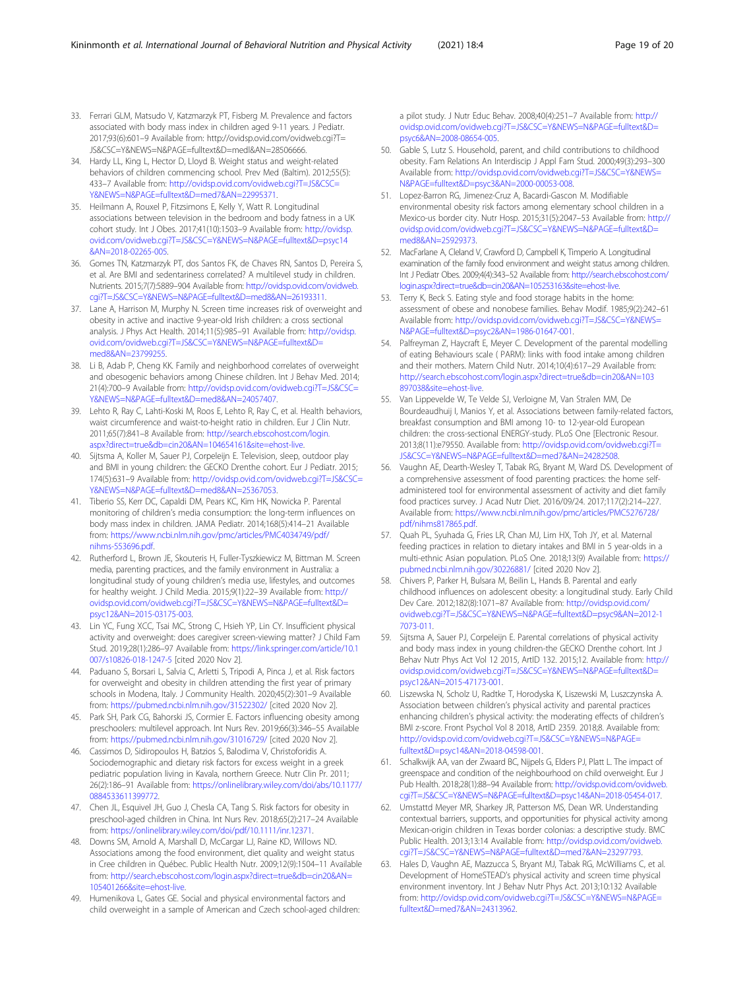- <span id="page-18-0"></span>33. Ferrari GLM, Matsudo V, Katzmarzyk PT, Fisberg M. Prevalence and factors associated with body mass index in children aged 9-11 years. J Pediatr. 2017;93(6):601–9 Available from: http://ovidsp.ovid.com/ovidweb.cgi?T= JS&CSC=Y&NEWS=N&PAGE=fulltext&D=medl&AN=28506666.
- 34. Hardy LL, King L, Hector D, Lloyd B. Weight status and weight-related behaviors of children commencing school. Prev Med (Baltim). 2012;55(5): 433–7 Available from: [http://ovidsp.ovid.com/ovidweb.cgi?T=JS&CSC=](http://ovidsp.ovid.com/ovidweb.cgi?T=JS&CSC=Y&NEWS=N&PAGE=fulltext&D=med7&AN=22995371) [Y&NEWS=N&PAGE=fulltext&D=med7&AN=22995371.](http://ovidsp.ovid.com/ovidweb.cgi?T=JS&CSC=Y&NEWS=N&PAGE=fulltext&D=med7&AN=22995371)
- 35. Heilmann A, Rouxel P, Fitzsimons E, Kelly Y, Watt R. Longitudinal associations between television in the bedroom and body fatness in a UK cohort study. Int J Obes. 2017;41(10):1503–9 Available from: [http://ovidsp.](http://ovidsp.ovid.com/ovidweb.cgi?T=JS&CSC=Y&NEWS=N&PAGE=fulltext&D=psyc14&AN=2018-02265-005) [ovid.com/ovidweb.cgi?T=JS&CSC=Y&NEWS=N&PAGE=fulltext&D=psyc14](http://ovidsp.ovid.com/ovidweb.cgi?T=JS&CSC=Y&NEWS=N&PAGE=fulltext&D=psyc14&AN=2018-02265-005) [&AN=2018-02265-005.](http://ovidsp.ovid.com/ovidweb.cgi?T=JS&CSC=Y&NEWS=N&PAGE=fulltext&D=psyc14&AN=2018-02265-005)
- 36. Gomes TN, Katzmarzyk PT, dos Santos FK, de Chaves RN, Santos D, Pereira S, et al. Are BMI and sedentariness correlated? A multilevel study in children. Nutrients. 2015;7(7):5889–904 Available from: [http://ovidsp.ovid.com/ovidweb.](http://ovidsp.ovid.com/ovidweb.cgi?T=JS&CSC=Y&NEWS=N&PAGE=fulltext&D=med8&AN=26193311) [cgi?T=JS&CSC=Y&NEWS=N&PAGE=fulltext&D=med8&AN=26193311.](http://ovidsp.ovid.com/ovidweb.cgi?T=JS&CSC=Y&NEWS=N&PAGE=fulltext&D=med8&AN=26193311)
- 37. Lane A, Harrison M, Murphy N. Screen time increases risk of overweight and obesity in active and inactive 9-year-old Irish children: a cross sectional analysis. J Phys Act Health. 2014;11(5):985–91 Available from: [http://ovidsp.](http://ovidsp.ovid.com/ovidweb.cgi?T=JS&CSC=Y&NEWS=N&PAGE=fulltext&D=med8&AN=23799255) [ovid.com/ovidweb.cgi?T=JS&CSC=Y&NEWS=N&PAGE=fulltext&D=](http://ovidsp.ovid.com/ovidweb.cgi?T=JS&CSC=Y&NEWS=N&PAGE=fulltext&D=med8&AN=23799255) [med8&AN=23799255](http://ovidsp.ovid.com/ovidweb.cgi?T=JS&CSC=Y&NEWS=N&PAGE=fulltext&D=med8&AN=23799255).
- 38. Li B, Adab P, Cheng KK. Family and neighborhood correlates of overweight and obesogenic behaviors among Chinese children. Int J Behav Med. 2014; 21(4):700–9 Available from: [http://ovidsp.ovid.com/ovidweb.cgi?T=JS&CSC=](http://ovidsp.ovid.com/ovidweb.cgi?T=JS&CSC=Y&NEWS=N&PAGE=fulltext&D=med8&AN=24057407) [Y&NEWS=N&PAGE=fulltext&D=med8&AN=24057407.](http://ovidsp.ovid.com/ovidweb.cgi?T=JS&CSC=Y&NEWS=N&PAGE=fulltext&D=med8&AN=24057407)
- 39. Lehto R, Ray C, Lahti-Koski M, Roos E, Lehto R, Ray C, et al. Health behaviors, waist circumference and waist-to-height ratio in children. Eur J Clin Nutr. 2011;65(7):841–8 Available from: [http://search.ebscohost.com/login.](http://search.ebscohost.com/login.aspx?direct=true&db=cin20&AN=104654161&site=ehost-live) [aspx?direct=true&db=cin20&AN=104654161&site=ehost-live.](http://search.ebscohost.com/login.aspx?direct=true&db=cin20&AN=104654161&site=ehost-live)
- 40. Sijtsma A, Koller M, Sauer PJ, Corpeleijn E. Television, sleep, outdoor play and BMI in young children: the GECKO Drenthe cohort. Eur J Pediatr. 2015; 174(5):631–9 Available from: [http://ovidsp.ovid.com/ovidweb.cgi?T=JS&CSC=](http://ovidsp.ovid.com/ovidweb.cgi?T=JS&CSC=Y&NEWS=N&PAGE=fulltext&D=med8&AN=25367053) [Y&NEWS=N&PAGE=fulltext&D=med8&AN=25367053.](http://ovidsp.ovid.com/ovidweb.cgi?T=JS&CSC=Y&NEWS=N&PAGE=fulltext&D=med8&AN=25367053)
- 41. Tiberio SS, Kerr DC, Capaldi DM, Pears KC, Kim HK, Nowicka P. Parental monitoring of children's media consumption: the long-term influences on body mass index in children. JAMA Pediatr. 2014;168(5):414–21 Available from: [https://www.ncbi.nlm.nih.gov/pmc/articles/PMC4034749/pdf/](https://www.ncbi.nlm.nih.gov/pmc/articles/PMC4034749/pdf/nihms-553696.pdf) [nihms-553696.pdf](https://www.ncbi.nlm.nih.gov/pmc/articles/PMC4034749/pdf/nihms-553696.pdf).
- 42. Rutherford L, Brown JE, Skouteris H, Fuller-Tyszkiewicz M, Bittman M. Screen media, parenting practices, and the family environment in Australia: a longitudinal study of young children's media use, lifestyles, and outcomes for healthy weight. J Child Media. 2015;9(1):22–39 Available from: [http://](http://ovidsp.ovid.com/ovidweb.cgi?T=JS&CSC=Y&NEWS=N&PAGE=fulltext&D=psyc12&AN=2015-03175-003) [ovidsp.ovid.com/ovidweb.cgi?T=JS&CSC=Y&NEWS=N&PAGE=fulltext&D=](http://ovidsp.ovid.com/ovidweb.cgi?T=JS&CSC=Y&NEWS=N&PAGE=fulltext&D=psyc12&AN=2015-03175-003) [psyc12&AN=2015-03175-003](http://ovidsp.ovid.com/ovidweb.cgi?T=JS&CSC=Y&NEWS=N&PAGE=fulltext&D=psyc12&AN=2015-03175-003).
- 43. Lin YC, Fung XCC, Tsai MC, Strong C, Hsieh YP, Lin CY. Insufficient physical activity and overweight: does caregiver screen-viewing matter? J Child Fam Stud. 2019;28(1):286–97 Available from: [https://link.springer.com/article/10.1](https://link.springer.com/article/10.1007/s10826-018-1247-5) [007/s10826-018-1247-5](https://link.springer.com/article/10.1007/s10826-018-1247-5) [cited 2020 Nov 2].
- 44. Paduano S, Borsari L, Salvia C, Arletti S, Tripodi A, Pinca J, et al. Risk factors for overweight and obesity in children attending the first year of primary schools in Modena, Italy. J Community Health. 2020;45(2):301-9 Available from: <https://pubmed.ncbi.nlm.nih.gov/31522302/> [cited 2020 Nov 2].
- 45. Park SH, Park CG, Bahorski JS, Cormier E. Factors influencing obesity among preschoolers: multilevel approach. Int Nurs Rev. 2019;66(3):346–55 Available from: <https://pubmed.ncbi.nlm.nih.gov/31016729/> [cited 2020 Nov 2].
- 46. Cassimos D, Sidiropoulos H, Batzios S, Balodima V, Christoforidis A. Sociodemographic and dietary risk factors for excess weight in a greek pediatric population living in Kavala, northern Greece. Nutr Clin Pr. 2011; 26(2):186–91 Available from: [https://onlinelibrary.wiley.com/doi/abs/10.1177/](https://onlinelibrary.wiley.com/doi/abs/10.1177/0884533611399772) [0884533611399772](https://onlinelibrary.wiley.com/doi/abs/10.1177/0884533611399772).
- 47. Chen JL, Esquivel JH, Guo J, Chesla CA, Tang S. Risk factors for obesity in preschool-aged children in China. Int Nurs Rev. 2018;65(2):217–24 Available from: [https://onlinelibrary.wiley.com/doi/pdf/10.1111/inr.12371.](https://onlinelibrary.wiley.com/doi/pdf/10.1111/inr.12371)
- 48. Downs SM, Arnold A, Marshall D, McCargar LJ, Raine KD, Willows ND. Associations among the food environment, diet quality and weight status in Cree children in Québec. Public Health Nutr. 2009;12(9):1504–11 Available from: [http://search.ebscohost.com/login.aspx?direct=true&db=cin20&AN=](http://search.ebscohost.com/login.aspx?direct=true&db=cin20&AN=105401266&site=ehost-live) [105401266&site=ehost-live.](http://search.ebscohost.com/login.aspx?direct=true&db=cin20&AN=105401266&site=ehost-live)
- 49. Humenikova L, Gates GE. Social and physical environmental factors and child overweight in a sample of American and Czech school-aged children:

a pilot study. J Nutr Educ Behav. 2008;40(4):251–7 Available from: [http://](http://ovidsp.ovid.com/ovidweb.cgi?T=JS&CSC=Y&NEWS=N&PAGE=fulltext&D=psyc6&AN=2008-08654-005) [ovidsp.ovid.com/ovidweb.cgi?T=JS&CSC=Y&NEWS=N&PAGE=fulltext&D=](http://ovidsp.ovid.com/ovidweb.cgi?T=JS&CSC=Y&NEWS=N&PAGE=fulltext&D=psyc6&AN=2008-08654-005) [psyc6&AN=2008-08654-005.](http://ovidsp.ovid.com/ovidweb.cgi?T=JS&CSC=Y&NEWS=N&PAGE=fulltext&D=psyc6&AN=2008-08654-005)

- 50. Gable S, Lutz S. Household, parent, and child contributions to childhood obesity. Fam Relations An Interdiscip J Appl Fam Stud. 2000;49(3):293–300 Available from: [http://ovidsp.ovid.com/ovidweb.cgi?T=JS&CSC=Y&NEWS=](http://ovidsp.ovid.com/ovidweb.cgi?T=JS&CSC=Y&NEWS=N&PAGE=fulltext&D=psyc3&AN=2000-00053-008) [N&PAGE=fulltext&D=psyc3&AN=2000-00053-008.](http://ovidsp.ovid.com/ovidweb.cgi?T=JS&CSC=Y&NEWS=N&PAGE=fulltext&D=psyc3&AN=2000-00053-008)
- 51. Lopez-Barron RG, Jimenez-Cruz A, Bacardi-Gascon M. Modifiable environmental obesity risk factors among elementary school children in a Mexico-us border city. Nutr Hosp. 2015;31(5):2047–53 Available from: [http://](http://ovidsp.ovid.com/ovidweb.cgi?T=JS&CSC=Y&NEWS=N&PAGE=fulltext&D=med8&AN=25929373) [ovidsp.ovid.com/ovidweb.cgi?T=JS&CSC=Y&NEWS=N&PAGE=fulltext&D=](http://ovidsp.ovid.com/ovidweb.cgi?T=JS&CSC=Y&NEWS=N&PAGE=fulltext&D=med8&AN=25929373) [med8&AN=25929373](http://ovidsp.ovid.com/ovidweb.cgi?T=JS&CSC=Y&NEWS=N&PAGE=fulltext&D=med8&AN=25929373).
- 52. MacFarlane A, Cleland V, Crawford D, Campbell K, Timperio A. Longitudinal examination of the family food environment and weight status among children. Int J Pediatr Obes. 2009;4(4):343-52 Available from: [http://search.ebscohost.com/](http://search.ebscohost.com/login.aspx?direct=true&db=cin20&AN=105253163&site=ehost-live) [login.aspx?direct=true&db=cin20&AN=105253163&site=ehost-live.](http://search.ebscohost.com/login.aspx?direct=true&db=cin20&AN=105253163&site=ehost-live)
- 53. Terry K, Beck S. Eating style and food storage habits in the home: assessment of obese and nonobese families. Behav Modif. 1985;9(2):242–61 Available from: [http://ovidsp.ovid.com/ovidweb.cgi?T=JS&CSC=Y&NEWS=](http://ovidsp.ovid.com/ovidweb.cgi?T=JS&CSC=Y&NEWS=N&PAGE=fulltext&D=psyc2&AN=1986-01647-001) [N&PAGE=fulltext&D=psyc2&AN=1986-01647-001.](http://ovidsp.ovid.com/ovidweb.cgi?T=JS&CSC=Y&NEWS=N&PAGE=fulltext&D=psyc2&AN=1986-01647-001)
- 54. Palfreyman Z, Haycraft E, Meyer C. Development of the parental modelling of eating Behaviours scale ( PARM): links with food intake among children and their mothers. Matern Child Nutr. 2014;10(4):617–29 Available from: [http://search.ebscohost.com/login.aspx?direct=true&db=cin20&AN=103](http://search.ebscohost.com/login.aspx?direct=true&db=cin20&AN=103897038&site=ehost-live) [897038&site=ehost-live](http://search.ebscohost.com/login.aspx?direct=true&db=cin20&AN=103897038&site=ehost-live).
- 55. Van Lippevelde W, Te Velde SJ, Verloigne M, Van Stralen MM, De Bourdeaudhuij I, Manios Y, et al. Associations between family-related factors, breakfast consumption and BMI among 10- to 12-year-old European children: the cross-sectional ENERGY-study. PLoS One [Electronic Resour. 2013;8(11):e79550. Available from: [http://ovidsp.ovid.com/ovidweb.cgi?T=](http://ovidsp.ovid.com/ovidweb.cgi?T=JS&CSC=Y&NEWS=N&PAGE=fulltext&D=med7&AN=24282508) [JS&CSC=Y&NEWS=N&PAGE=fulltext&D=med7&AN=24282508](http://ovidsp.ovid.com/ovidweb.cgi?T=JS&CSC=Y&NEWS=N&PAGE=fulltext&D=med7&AN=24282508).
- 56. Vaughn AE, Dearth-Wesley T, Tabak RG, Bryant M, Ward DS. Development of a comprehensive assessment of food parenting practices: the home selfadministered tool for environmental assessment of activity and diet family food practices survey. J Acad Nutr Diet. 2016/09/24. 2017;117(2):214–227. Available from: [https://www.ncbi.nlm.nih.gov/pmc/articles/PMC5276728/](https://www.ncbi.nlm.nih.gov/pmc/articles/PMC5276728/pdf/nihms817865.pdf) [pdf/nihms817865.pdf](https://www.ncbi.nlm.nih.gov/pmc/articles/PMC5276728/pdf/nihms817865.pdf).
- 57. Quah PL, Syuhada G, Fries LR, Chan MJ, Lim HX, Toh JY, et al. Maternal feeding practices in relation to dietary intakes and BMI in 5 year-olds in a multi-ethnic Asian population. PLoS One. 2018;13(9) Available from: [https://](https://pubmed.ncbi.nlm.nih.gov/30226881/) [pubmed.ncbi.nlm.nih.gov/30226881/](https://pubmed.ncbi.nlm.nih.gov/30226881/) [cited 2020 Nov 2].
- 58. Chivers P, Parker H, Bulsara M, Beilin L, Hands B. Parental and early childhood influences on adolescent obesity: a longitudinal study. Early Child Dev Care. 2012;182(8):1071–87 Available from: [http://ovidsp.ovid.com/](http://ovidsp.ovid.com/ovidweb.cgi?T=JS&CSC=Y&NEWS=N&PAGE=fulltext&D=psyc9&AN=2012-17073-011) [ovidweb.cgi?T=JS&CSC=Y&NEWS=N&PAGE=fulltext&D=psyc9&AN=2012-1](http://ovidsp.ovid.com/ovidweb.cgi?T=JS&CSC=Y&NEWS=N&PAGE=fulltext&D=psyc9&AN=2012-17073-011) [7073-011.](http://ovidsp.ovid.com/ovidweb.cgi?T=JS&CSC=Y&NEWS=N&PAGE=fulltext&D=psyc9&AN=2012-17073-011)
- 59. Sijtsma A, Sauer PJ, Corpeleijn E. Parental correlations of physical activity and body mass index in young children-the GECKO Drenthe cohort. Int J Behav Nutr Phys Act Vol 12 2015, ArtID 132. 2015;12. Available from: [http://](http://ovidsp.ovid.com/ovidweb.cgi?T=JS&CSC=Y&NEWS=N&PAGE=fulltext&D=psyc12&AN=2015-47173-001) [ovidsp.ovid.com/ovidweb.cgi?T=JS&CSC=Y&NEWS=N&PAGE=fulltext&D=](http://ovidsp.ovid.com/ovidweb.cgi?T=JS&CSC=Y&NEWS=N&PAGE=fulltext&D=psyc12&AN=2015-47173-001) [psyc12&AN=2015-47173-001](http://ovidsp.ovid.com/ovidweb.cgi?T=JS&CSC=Y&NEWS=N&PAGE=fulltext&D=psyc12&AN=2015-47173-001).
- 60. Liszewska N, Scholz U, Radtke T, Horodyska K, Liszewski M, Luszczynska A. Association between children's physical activity and parental practices enhancing children's physical activity: the moderating effects of children's BMI z-score. Front Psychol Vol 8 2018, ArtID 2359. 2018;8. Available from: [http://ovidsp.ovid.com/ovidweb.cgi?T=JS&CSC=Y&NEWS=N&PAGE=](http://ovidsp.ovid.com/ovidweb.cgi?T=JS&CSC=Y&NEWS=N&PAGE=fulltext&D=psyc14&AN=2018-04598-001) [fulltext&D=psyc14&AN=2018-04598-001](http://ovidsp.ovid.com/ovidweb.cgi?T=JS&CSC=Y&NEWS=N&PAGE=fulltext&D=psyc14&AN=2018-04598-001).
- 61. Schalkwijk AA, van der Zwaard BC, Nijpels G, Elders PJ, Platt L. The impact of greenspace and condition of the neighbourhood on child overweight. Eur J Pub Health. 2018;28(1):88-94 Available from: [http://ovidsp.ovid.com/ovidweb.](http://ovidsp.ovid.com/ovidweb.cgi?T=JS&CSC=Y&NEWS=N&PAGE=fulltext&D=psyc14&AN=2018-05454-017) [cgi?T=JS&CSC=Y&NEWS=N&PAGE=fulltext&D=psyc14&AN=2018-05454-017](http://ovidsp.ovid.com/ovidweb.cgi?T=JS&CSC=Y&NEWS=N&PAGE=fulltext&D=psyc14&AN=2018-05454-017).
- 62. Umstattd Meyer MR, Sharkey JR, Patterson MS, Dean WR. Understanding contextual barriers, supports, and opportunities for physical activity among Mexican-origin children in Texas border colonias: a descriptive study. BMC Public Health. 2013;13:14 Available from: [http://ovidsp.ovid.com/ovidweb.](http://ovidsp.ovid.com/ovidweb.cgi?T=JS&CSC=Y&NEWS=N&PAGE=fulltext&D=med7&AN=23297793) [cgi?T=JS&CSC=Y&NEWS=N&PAGE=fulltext&D=med7&AN=23297793.](http://ovidsp.ovid.com/ovidweb.cgi?T=JS&CSC=Y&NEWS=N&PAGE=fulltext&D=med7&AN=23297793)
- 63. Hales D, Vaughn AE, Mazzucca S, Bryant MJ, Tabak RG, McWilliams C, et al. Development of HomeSTEAD's physical activity and screen time physical environment inventory. Int J Behav Nutr Phys Act. 2013;10:132 Available from: [http://ovidsp.ovid.com/ovidweb.cgi?T=JS&CSC=Y&NEWS=N&PAGE=](http://ovidsp.ovid.com/ovidweb.cgi?T=JS&CSC=Y&NEWS=N&PAGE=fulltext&D=med7&AN=24313962) [fulltext&D=med7&AN=24313962](http://ovidsp.ovid.com/ovidweb.cgi?T=JS&CSC=Y&NEWS=N&PAGE=fulltext&D=med7&AN=24313962).